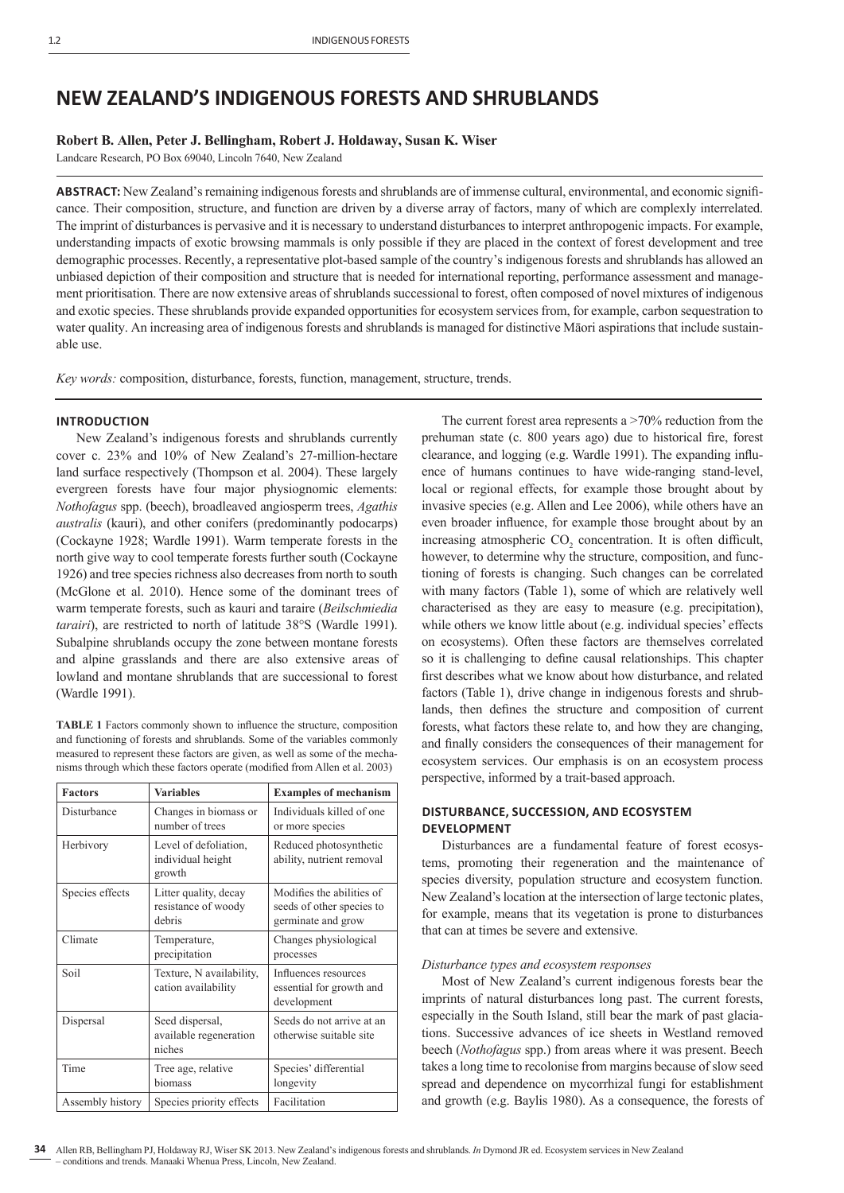# **NEW ZEALAND'S INDIGENOUS FORESTS AND SHRUBLANDS**

## **Robert B. Allen, Peter J. Bellingham, Robert J. Holdaway, Susan K. Wiser**

Landcare Research, PO Box 69040, Lincoln 7640, New Zealand

ABSTRACT: New Zealand's remaining indigenous forests and shrublands are of immense cultural, environmental, and economic significance. Their composition, structure, and function are driven by a diverse array of factors, many of which are complexly interrelated. The imprint of disturbances is pervasive and it is necessary to understand disturbances to interpret anthropogenic impacts. For example, understanding impacts of exotic browsing mammals is only possible if they are placed in the context of forest development and tree demographic processes. Recently, a representative plot-based sample of the country's indigenous forests and shrublands has allowed an unbiased depiction of their composition and structure that is needed for international reporting, performance assessment and management prioritisation. There are now extensive areas of shrublands successional to forest, often composed of novel mixtures of indigenous and exotic species. These shrublands provide expanded opportunities for ecosystem services from, for example, carbon sequestration to water quality. An increasing area of indigenous forests and shrublands is managed for distinctive Māori aspirations that include sustainable use.

*Key words:* composition, disturbance, forests, function, management, structure, trends.

## **INTRODUCTION**

New Zealand's indigenous forests and shrublands currently cover c. 23% and 10% of New Zealand's 27-million-hectare land surface respectively (Thompson et al. 2004). These largely evergreen forests have four major physiognomic elements: *Nothofagus* spp. (beech), broadleaved angiosperm trees, *Agathis australis* (kauri), and other conifers (predominantly podocarps) (Cockayne 1928; Wardle 1991). Warm temperate forests in the north give way to cool temperate forests further south (Cockayne 1926) and tree species richness also decreases from north to south (McGlone et al. 2010). Hence some of the dominant trees of warm temperate forests, such as kauri and taraire (*Beilschmiedia tarairi*), are restricted to north of latitude 38°S (Wardle 1991). Subalpine shrublands occupy the zone between montane forests and alpine grasslands and there are also extensive areas of lowland and montane shrublands that are successional to forest (Wardle 1991).

**TABLE 1** Factors commonly shown to influence the structure, composition and functioning of forests and shrublands. Some of the variables commonly measured to represent these factors are given, as well as some of the mechanisms through which these factors operate (modified from Allen et al. 2003)

| <b>Factors</b>   | <b>Variables</b>                                       | <b>Examples of mechanism</b>                                                 |  |  |
|------------------|--------------------------------------------------------|------------------------------------------------------------------------------|--|--|
| Disturbance      | Changes in biomass or<br>number of trees               | Individuals killed of one<br>or more species                                 |  |  |
| Herbivory        | Level of defoliation,<br>individual height<br>growth   | Reduced photosynthetic<br>ability, nutrient removal                          |  |  |
| Species effects  | Litter quality, decay<br>resistance of woody<br>debris | Modifies the abilities of<br>seeds of other species to<br>germinate and grow |  |  |
| Climate          | Temperature,<br>precipitation                          | Changes physiological<br>processes                                           |  |  |
| Soil             | Texture, N availability,<br>cation availability        | Influences resources<br>essential for growth and<br>development              |  |  |
| Dispersal        | Seed dispersal,<br>available regeneration<br>niches    | Seeds do not arrive at an<br>otherwise suitable site                         |  |  |
| Time             | Tree age, relative<br>biomass                          | Species' differential<br>longevity                                           |  |  |
| Assembly history | Species priority effects                               | Facilitation                                                                 |  |  |

The current forest area represents a >70% reduction from the prehuman state (c. 800 years ago) due to historical fire, forest clearance, and logging (e.g. Wardle 1991). The expanding influence of humans continues to have wide-ranging stand-level, local or regional effects, for example those brought about by invasive species (e.g. Allen and Lee 2006), while others have an even broader influence, for example those brought about by an increasing atmospheric  $CO<sub>2</sub>$  concentration. It is often difficult, however, to determine why the structure, composition, and functioning of forests is changing. Such changes can be correlated with many factors (Table 1), some of which are relatively well characterised as they are easy to measure (e.g. precipitation), while others we know little about (e.g. individual species' effects on ecosystems). Often these factors are themselves correlated so it is challenging to define causal relationships. This chapter first describes what we know about how disturbance, and related factors (Table 1), drive change in indigenous forests and shrublands, then defines the structure and composition of current forests, what factors these relate to, and how they are changing, and finally considers the consequences of their management for ecosystem services. Our emphasis is on an ecosystem process perspective, informed by a trait-based approach.

# **DISTURBANCE, SUCCESSION, AND ECOSYSTEM DEVELOPMENT**

Disturbances are a fundamental feature of forest ecosystems, promoting their regeneration and the maintenance of species diversity, population structure and ecosystem function. New Zealand's location at the intersection of large tectonic plates, for example, means that its vegetation is prone to disturbances that can at times be severe and extensive.

## *Disturbance types and ecosystem responses*

Most of New Zealand's current indigenous forests bear the imprints of natural disturbances long past. The current forests, especially in the South Island, still bear the mark of past glaciations. Successive advances of ice sheets in Westland removed beech (*Nothofagus* spp.) from areas where it was present. Beech takes a long time to recolonise from margins because of slow seed spread and dependence on mycorrhizal fungi for establishment and growth (e.g. Baylis 1980). As a consequence, the forests of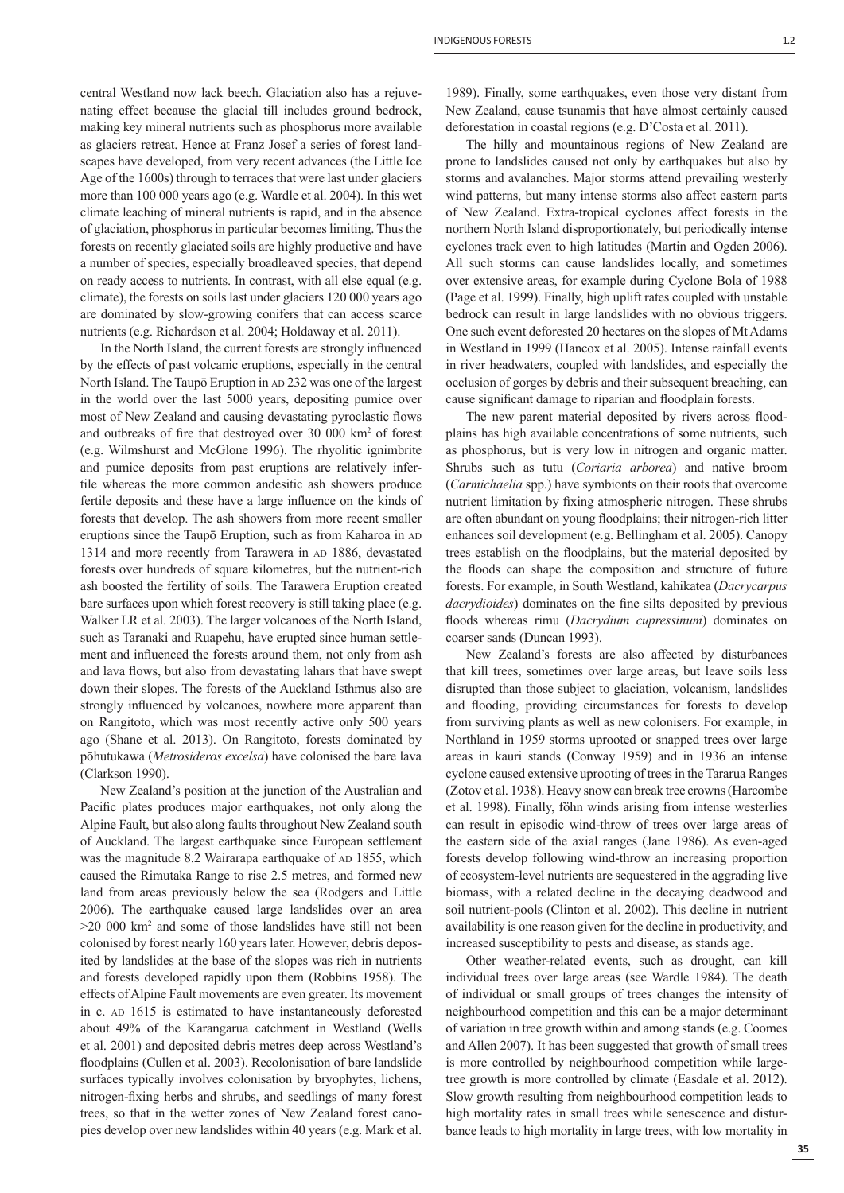central Westland now lack beech. Glaciation also has a rejuvenating effect because the glacial till includes ground bedrock, making key mineral nutrients such as phosphorus more available as glaciers retreat. Hence at Franz Josef a series of forest landscapes have developed, from very recent advances (the Little Ice Age of the 1600s) through to terraces that were last under glaciers more than 100 000 years ago (e.g. Wardle et al. 2004). In this wet climate leaching of mineral nutrients is rapid, and in the absence of glaciation, phosphorus in particular becomes limiting. Thus the forests on recently glaciated soils are highly productive and have a number of species, especially broadleaved species, that depend on ready access to nutrients. In contrast, with all else equal (e.g. climate), the forests on soils last under glaciers 120 000 years ago are dominated by slow-growing conifers that can access scarce nutrients (e.g. Richardson et al. 2004; Holdaway et al. 2011).

In the North Island, the current forests are strongly influenced by the effects of past volcanic eruptions, especially in the central North Island. The Taupō Eruption in AD 232 was one of the largest in the world over the last 5000 years, depositing pumice over most of New Zealand and causing devastating pyroclastic flows and outbreaks of fire that destroyed over 30 000 km<sup>2</sup> of forest (e.g. Wilmshurst and McGlone 1996). The rhyolitic ignimbrite and pumice deposits from past eruptions are relatively infertile whereas the more common andesitic ash showers produce fertile deposits and these have a large influence on the kinds of forests that develop. The ash showers from more recent smaller eruptions since the Taupō Eruption, such as from Kaharoa in AD 1314 and more recently from Tarawera in AD 1886, devastated forests over hundreds of square kilometres, but the nutrient-rich ash boosted the fertility of soils. The Tarawera Eruption created bare surfaces upon which forest recovery is still taking place (e.g. Walker LR et al. 2003). The larger volcanoes of the North Island, such as Taranaki and Ruapehu, have erupted since human settlement and influenced the forests around them, not only from ash and lava flows, but also from devastating lahars that have swept down their slopes. The forests of the Auckland Isthmus also are strongly influenced by volcanoes, nowhere more apparent than on Rangitoto, which was most recently active only 500 years ago (Shane et al. 2013). On Rangitoto, forests dominated by pōhutukawa (*Metrosideros excelsa*) have colonised the bare lava (Clarkson 1990).

New Zealand's position at the junction of the Australian and Pacific plates produces major earthquakes, not only along the Alpine Fault, but also along faults throughout New Zealand south of Auckland. The largest earthquake since European settlement was the magnitude 8.2 Wairarapa earthquake of AD 1855, which caused the Rimutaka Range to rise 2.5 metres, and formed new land from areas previously below the sea (Rodgers and Little 2006). The earthquake caused large landslides over an area >20 000 km2 and some of those landslides have still not been colonised by forest nearly 160 years later. However, debris deposited by landslides at the base of the slopes was rich in nutrients and forests developed rapidly upon them (Robbins 1958). The effects of Alpine Fault movements are even greater. Its movement in c. AD 1615 is estimated to have instantaneously deforested about 49% of the Karangarua catchment in Westland (Wells et al. 2001) and deposited debris metres deep across Westland's floodplains (Cullen et al. 2003). Recolonisation of bare landslide surfaces typically involves colonisation by bryophytes, lichens, nitrogen-fixing herbs and shrubs, and seedlings of many forest trees, so that in the wetter zones of New Zealand forest canopies develop over new landslides within 40 years (e.g. Mark et al.

1989). Finally, some earthquakes, even those very distant from New Zealand, cause tsunamis that have almost certainly caused deforestation in coastal regions (e.g. D'Costa et al. 2011).

The hilly and mountainous regions of New Zealand are prone to landslides caused not only by earthquakes but also by storms and avalanches. Major storms attend prevailing westerly wind patterns, but many intense storms also affect eastern parts of New Zealand. Extra-tropical cyclones affect forests in the northern North Island disproportionately, but periodically intense cyclones track even to high latitudes (Martin and Ogden 2006). All such storms can cause landslides locally, and sometimes over extensive areas, for example during Cyclone Bola of 1988 (Page et al. 1999). Finally, high uplift rates coupled with unstable bedrock can result in large landslides with no obvious triggers. One such event deforested 20 hectares on the slopes of Mt Adams in Westland in 1999 (Hancox et al. 2005). Intense rainfall events in river headwaters, coupled with landslides, and especially the occlusion of gorges by debris and their subsequent breaching, can cause significant damage to riparian and floodplain forests.

The new parent material deposited by rivers across floodplains has high available concentrations of some nutrients, such as phosphorus, but is very low in nitrogen and organic matter. Shrubs such as tutu (*Coriaria arborea*) and native broom (*Carmichaelia* spp.) have symbionts on their roots that overcome nutrient limitation by fixing atmospheric nitrogen. These shrubs are often abundant on young floodplains; their nitrogen-rich litter enhances soil development (e.g. Bellingham et al. 2005). Canopy trees establish on the floodplains, but the material deposited by the floods can shape the composition and structure of future forests. For example, in South Westland, kahikatea (*Dacrycarpus dacrydioides*) dominates on the fine silts deposited by previous floods whereas rimu (*Dacrydium cupressinum*) dominates on coarser sands (Duncan 1993).

New Zealand's forests are also affected by disturbances that kill trees, sometimes over large areas, but leave soils less disrupted than those subject to glaciation, volcanism, landslides and flooding, providing circumstances for forests to develop from surviving plants as well as new colonisers. For example, in Northland in 1959 storms uprooted or snapped trees over large areas in kauri stands (Conway 1959) and in 1936 an intense cyclone caused extensive uprooting of trees in the Tararua Ranges (Zotov et al. 1938). Heavy snow can break tree crowns (Harcombe et al. 1998). Finally, föhn winds arising from intense westerlies can result in episodic wind-throw of trees over large areas of the eastern side of the axial ranges (Jane 1986). As even-aged forests develop following wind-throw an increasing proportion of ecosystem-level nutrients are sequestered in the aggrading live biomass, with a related decline in the decaying deadwood and soil nutrient-pools (Clinton et al. 2002). This decline in nutrient availability is one reason given for the decline in productivity, and increased susceptibility to pests and disease, as stands age.

Other weather-related events, such as drought, can kill individual trees over large areas (see Wardle 1984). The death of individual or small groups of trees changes the intensity of neighbourhood competition and this can be a major determinant of variation in tree growth within and among stands (e.g. Coomes and Allen 2007). It has been suggested that growth of small trees is more controlled by neighbourhood competition while largetree growth is more controlled by climate (Easdale et al. 2012). Slow growth resulting from neighbourhood competition leads to high mortality rates in small trees while senescence and disturbance leads to high mortality in large trees, with low mortality in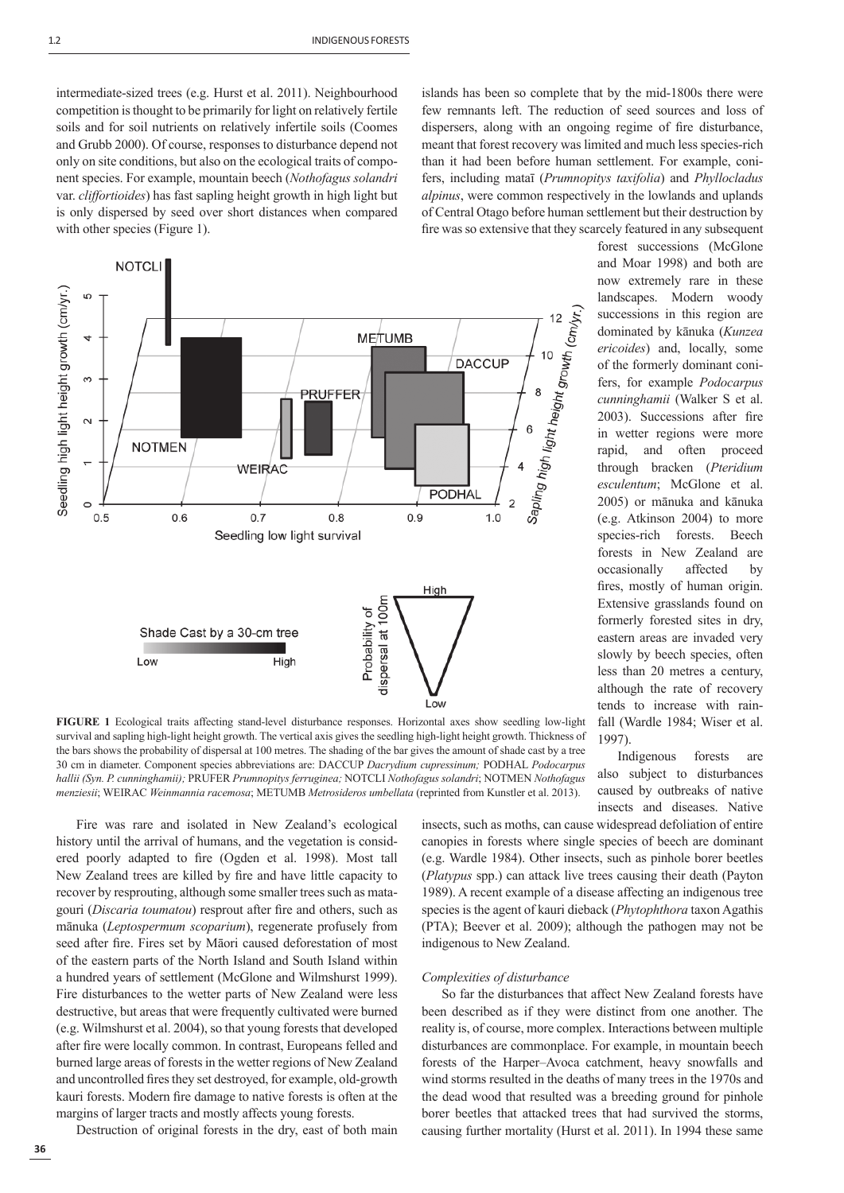intermediate-sized trees (e.g. Hurst et al. 2011). Neighbourhood competition is thought to be primarily for light on relatively fertile soils and for soil nutrients on relatively infertile soils (Coomes and Grubb 2000). Of course, responses to disturbance depend not only on site conditions, but also on the ecological traits of component species. For example, mountain beech (*Nothofagus solandri* var. *cliffortioides*) has fast sapling height growth in high light but is only dispersed by seed over short distances when compared with other species (Figure 1).



**FIGURE 1** Ecological traits affecting stand-level disturbance responses. Horizontal axes show seedling low-light survival and sapling high-light height growth. The vertical axis gives the seedling high-light height growth. Thickness of the bars shows the probability of dispersal at 100 metres. The shading of the bar gives the amount of shade cast by a tree 30 cm in diameter. Component species abbreviations are: DACCUP *Dacrydium cupressinum;* PODHAL *Podocarpus hallii (Syn. P. cunninghamii);* PRUFER *Prumnopitys ferruginea;* NOTCLI *Nothofagus solandri*; NOTMEN *Nothofagus menziesii*; WEIRAC *Weinmannia racemosa*; METUMB *Metrosideros umbellata* (reprinted from Kunstler et al. 2013).

Fire was rare and isolated in New Zealand's ecological history until the arrival of humans, and the vegetation is considered poorly adapted to fire (Ogden et al. 1998). Most tall New Zealand trees are killed by fire and have little capacity to recover by resprouting, although some smaller trees such as matagouri (*Discaria toumatou*) resprout after fire and others, such as mānuka (*Leptospermum scoparium*), regenerate profusely from seed after fire. Fires set by Māori caused deforestation of most of the eastern parts of the North Island and South Island within a hundred years of settlement (McGlone and Wilmshurst 1999). Fire disturbances to the wetter parts of New Zealand were less destructive, but areas that were frequently cultivated were burned (e.g. Wilmshurst et al. 2004), so that young forests that developed after fire were locally common. In contrast, Europeans felled and burned large areas of forests in the wetter regions of New Zealand and uncontrolled fires they set destroyed, for example, old-growth kauri forests. Modern fire damage to native forests is often at the margins of larger tracts and mostly affects young forests.

Destruction of original forests in the dry, east of both main

islands has been so complete that by the mid-1800s there were few remnants left. The reduction of seed sources and loss of dispersers, along with an ongoing regime of fire disturbance, meant that forest recovery was limited and much less species-rich than it had been before human settlement. For example, conifers, including mataī (*Prumnopitys taxifolia*) and *Phyllocladus alpinus*, were common respectively in the lowlands and uplands of Central Otago before human settlement but their destruction by fire was so extensive that they scarcely featured in any subsequent

> forest successions (McGlone and Moar 1998) and both are now extremely rare in these landscapes. Modern woody successions in this region are dominated by kānuka (*Kunzea ericoides*) and, locally, some of the formerly dominant conifers, for example *Podocarpus cunninghamii* (Walker S et al. 2003). Successions after fire in wetter regions were more rapid, and often proceed through bracken (*Pteridium esculentum*; McGlone et al. 2005) or mānuka and kānuka (e.g. Atkinson 2004) to more species-rich forests. Beech forests in New Zealand are occasionally affected by fires, mostly of human origin. Extensive grasslands found on formerly forested sites in dry, eastern areas are invaded very slowly by beech species, often less than 20 metres a century, although the rate of recovery tends to increase with rainfall (Wardle 1984; Wiser et al. 1997).

Indigenous forests are also subject to disturbances caused by outbreaks of native insects and diseases. Native

insects, such as moths, can cause widespread defoliation of entire canopies in forests where single species of beech are dominant (e.g. Wardle 1984). Other insects, such as pinhole borer beetles (*Platypus* spp.) can attack live trees causing their death (Payton 1989). A recent example of a disease affecting an indigenous tree species is the agent of kauri dieback (*Phytophthora* taxon Agathis (PTA); Beever et al. 2009); although the pathogen may not be indigenous to New Zealand.

## *Complexities of disturbance*

So far the disturbances that affect New Zealand forests have been described as if they were distinct from one another. The reality is, of course, more complex. Interactions between multiple disturbances are commonplace. For example, in mountain beech forests of the Harper–Avoca catchment, heavy snowfalls and wind storms resulted in the deaths of many trees in the 1970s and the dead wood that resulted was a breeding ground for pinhole borer beetles that attacked trees that had survived the storms, causing further mortality (Hurst et al. 2011). In 1994 these same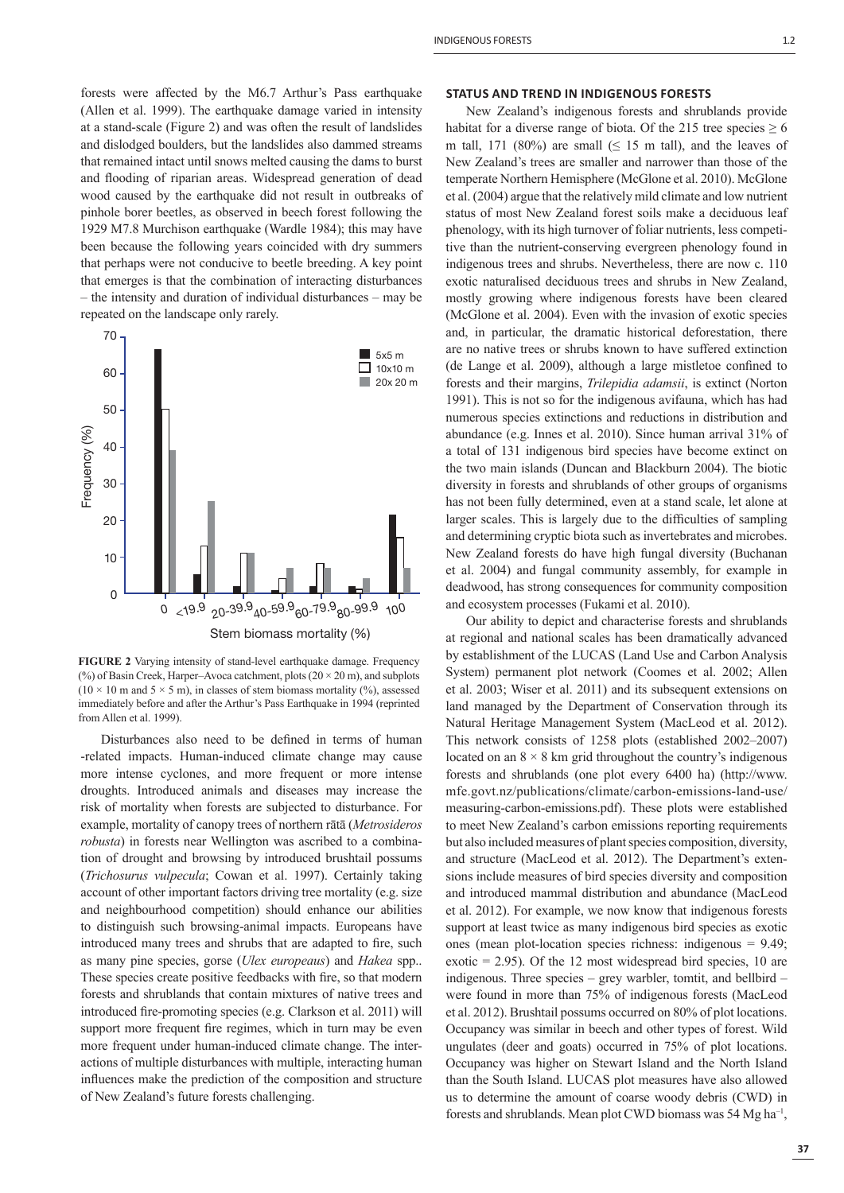forests were affected by the M6.7 Arthur's Pass earthquake (Allen et al. 1999). The earthquake damage varied in intensity at a stand-scale (Figure 2) and was often the result of landslides and dislodged boulders, but the landslides also dammed streams that remained intact until snows melted causing the dams to burst and flooding of riparian areas. Widespread generation of dead wood caused by the earthquake did not result in outbreaks of pinhole borer beetles, as observed in beech forest following the 1929 M7.8 Murchison earthquake (Wardle 1984); this may have been because the following years coincided with dry summers that perhaps were not conducive to beetle breeding. A key point that emerges is that the combination of interacting disturbances – the intensity and duration of individual disturbances – may be repeated on the landscape only rarely.



**FIGURE 2** Varying intensity of stand-level earthquake damage. Frequency (%) of Basin Creek, Harper–Avoca catchment, plots  $(20 \times 20 \text{ m})$ , and subplots  $(10 \times 10 \text{ m and } 5 \times 5 \text{ m})$ , in classes of stem biomass mortality (%), assessed immediately before and after the Arthur's Pass Earthquake in 1994 (reprinted from Allen et al. 1999).

Disturbances also need to be defined in terms of human -related impacts. Human-induced climate change may cause more intense cyclones, and more frequent or more intense droughts. Introduced animals and diseases may increase the risk of mortality when forests are subjected to disturbance. For example, mortality of canopy trees of northern rātā (*Metrosideros robusta*) in forests near Wellington was ascribed to a combination of drought and browsing by introduced brushtail possums (*Trichosurus vulpecula*; Cowan et al. 1997). Certainly taking account of other important factors driving tree mortality (e.g. size and neighbourhood competition) should enhance our abilities to distinguish such browsing-animal impacts. Europeans have introduced many trees and shrubs that are adapted to fire, such as many pine species, gorse (*Ulex europeaus*) and *Hakea* spp.. These species create positive feedbacks with fire, so that modern forests and shrublands that contain mixtures of native trees and introduced fire-promoting species (e.g. Clarkson et al. 2011) will support more frequent fire regimes, which in turn may be even more frequent under human-induced climate change. The interactions of multiple disturbances with multiple, interacting human influences make the prediction of the composition and structure of New Zealand's future forests challenging.

#### **STATUS AND TREND IN INDIGENOUS FORESTS**

New Zealand's indigenous forests and shrublands provide habitat for a diverse range of biota. Of the 215 tree species  $\geq 6$ m tall, 171 (80%) are small ( $\leq$  15 m tall), and the leaves of New Zealand's trees are smaller and narrower than those of the temperate Northern Hemisphere (McGlone et al. 2010). McGlone et al. (2004) argue that the relatively mild climate and low nutrient status of most New Zealand forest soils make a deciduous leaf phenology, with its high turnover of foliar nutrients, less competitive than the nutrient-conserving evergreen phenology found in indigenous trees and shrubs. Nevertheless, there are now c. 110 exotic naturalised deciduous trees and shrubs in New Zealand, mostly growing where indigenous forests have been cleared (McGlone et al. 2004). Even with the invasion of exotic species and, in particular, the dramatic historical deforestation, there are no native trees or shrubs known to have suffered extinction (de Lange et al. 2009), although a large mistletoe confined to forests and their margins, *Trilepidia adamsii*, is extinct (Norton 1991). This is not so for the indigenous avifauna, which has had numerous species extinctions and reductions in distribution and abundance (e.g. Innes et al. 2010). Since human arrival 31% of a total of 131 indigenous bird species have become extinct on the two main islands (Duncan and Blackburn 2004). The biotic diversity in forests and shrublands of other groups of organisms has not been fully determined, even at a stand scale, let alone at larger scales. This is largely due to the difficulties of sampling and determining cryptic biota such as invertebrates and microbes. New Zealand forests do have high fungal diversity (Buchanan et al. 2004) and fungal community assembly, for example in deadwood, has strong consequences for community composition and ecosystem processes (Fukami et al. 2010).

Our ability to depict and characterise forests and shrublands at regional and national scales has been dramatically advanced by establishment of the LUCAS (Land Use and Carbon Analysis System) permanent plot network (Coomes et al. 2002; Allen et al. 2003; Wiser et al. 2011) and its subsequent extensions on land managed by the Department of Conservation through its Natural Heritage Management System (MacLeod et al. 2012). This network consists of 1258 plots (established 2002–2007) located on an  $8 \times 8$  km grid throughout the country's indigenous forests and shrublands (one plot every 6400 ha) (http://www. mfe.govt.nz/publications/climate/carbon-emissions-land-use/ measuring-carbon-emissions.pdf). These plots were established to meet New Zealand's carbon emissions reporting requirements but also included measures of plant species composition, diversity, and structure (MacLeod et al. 2012). The Department's extensions include measures of bird species diversity and composition and introduced mammal distribution and abundance (MacLeod et al. 2012). For example, we now know that indigenous forests support at least twice as many indigenous bird species as exotic ones (mean plot-location species richness: indigenous = 9.49; exotic = 2.95). Of the 12 most widespread bird species, 10 are indigenous. Three species – grey warbler, tomtit, and bellbird – were found in more than 75% of indigenous forests (MacLeod et al. 2012). Brushtail possums occurred on 80% of plot locations. Occupancy was similar in beech and other types of forest. Wild ungulates (deer and goats) occurred in 75% of plot locations. Occupancy was higher on Stewart Island and the North Island than the South Island. LUCAS plot measures have also allowed us to determine the amount of coarse woody debris (CWD) in forests and shrublands. Mean plot CWD biomass was 54 Mg ha–1,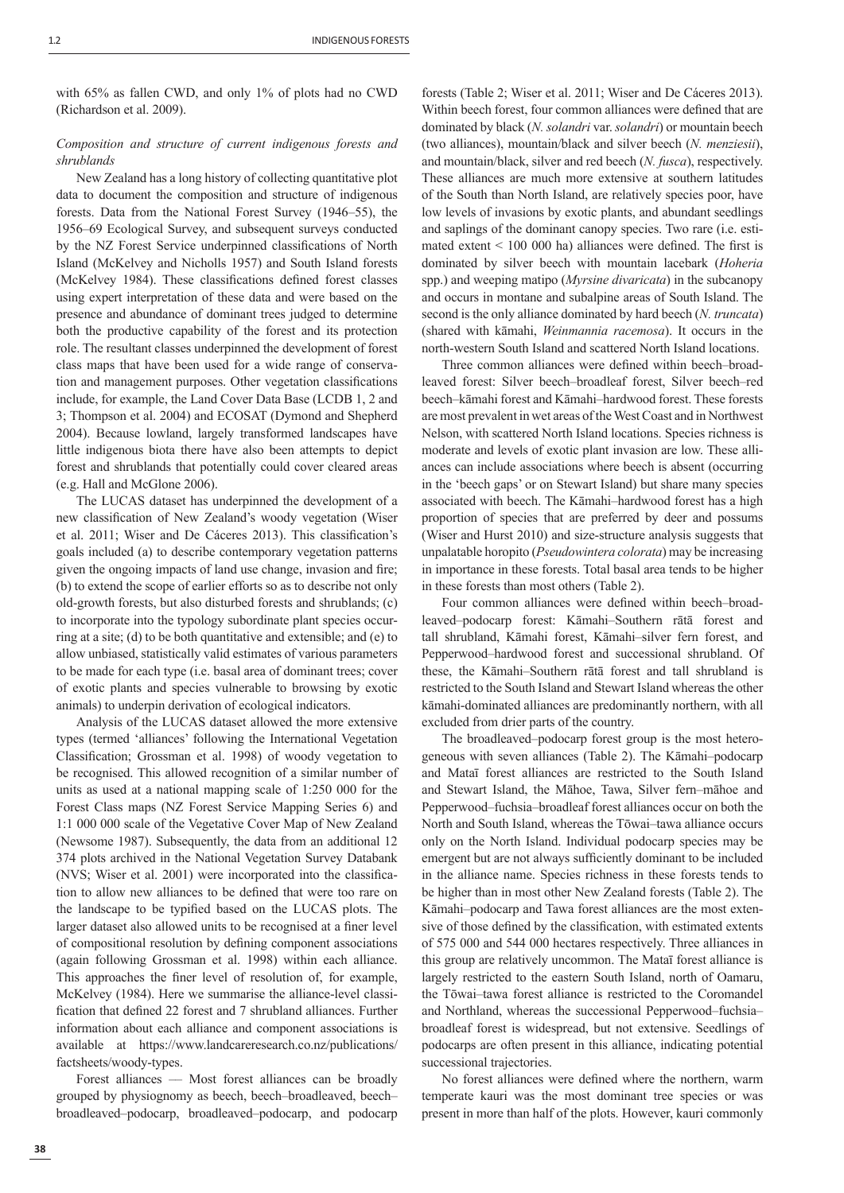with 65% as fallen CWD, and only 1% of plots had no CWD (Richardson et al. 2009).

# *Composition and structure of current indigenous forests and shrublands*

New Zealand has a long history of collecting quantitative plot data to document the composition and structure of indigenous forests. Data from the National Forest Survey (1946–55), the 1956–69 Ecological Survey, and subsequent surveys conducted by the NZ Forest Service underpinned classifications of North Island (McKelvey and Nicholls 1957) and South Island forests (McKelvey 1984). These classifications defined forest classes using expert interpretation of these data and were based on the presence and abundance of dominant trees judged to determine both the productive capability of the forest and its protection role. The resultant classes underpinned the development of forest class maps that have been used for a wide range of conservation and management purposes. Other vegetation classifications include, for example, the Land Cover Data Base (LCDB 1, 2 and 3; Thompson et al. 2004) and ECOSAT (Dymond and Shepherd 2004). Because lowland, largely transformed landscapes have little indigenous biota there have also been attempts to depict forest and shrublands that potentially could cover cleared areas (e.g. Hall and McGlone 2006).

The LUCAS dataset has underpinned the development of a new classification of New Zealand's woody vegetation (Wiser et al. 2011; Wiser and De Cáceres 2013). This classification's goals included (a) to describe contemporary vegetation patterns given the ongoing impacts of land use change, invasion and fire; (b) to extend the scope of earlier efforts so as to describe not only old-growth forests, but also disturbed forests and shrublands; (c) to incorporate into the typology subordinate plant species occurring at a site; (d) to be both quantitative and extensible; and (e) to allow unbiased, statistically valid estimates of various parameters to be made for each type (i.e. basal area of dominant trees; cover of exotic plants and species vulnerable to browsing by exotic animals) to underpin derivation of ecological indicators.

Analysis of the LUCAS dataset allowed the more extensive types (termed 'alliances' following the International Vegetation Classification; Grossman et al. 1998) of woody vegetation to be recognised. This allowed recognition of a similar number of units as used at a national mapping scale of 1:250 000 for the Forest Class maps (NZ Forest Service Mapping Series 6) and 1:1 000 000 scale of the Vegetative Cover Map of New Zealand (Newsome 1987). Subsequently, the data from an additional 12 374 plots archived in the National Vegetation Survey Databank (NVS; Wiser et al. 2001) were incorporated into the classification to allow new alliances to be defined that were too rare on the landscape to be typified based on the LUCAS plots. The larger dataset also allowed units to be recognised at a finer level of compositional resolution by defining component associations (again following Grossman et al. 1998) within each alliance. This approaches the finer level of resolution of, for example, McKelvey (1984). Here we summarise the alliance-level classification that defined 22 forest and 7 shrubland alliances. Further information about each alliance and component associations is available at https://www.landcareresearch.co.nz/publications/ factsheets/woody-types.

Forest alliances –– Most forest alliances can be broadly grouped by physiognomy as beech, beech*–*broadleaved, beech*–* broadleaved*–*podocarp, broadleaved*–*podocarp, and podocarp forests (Table 2; Wiser et al. 2011; Wiser and De Cáceres 2013). Within beech forest, four common alliances were defined that are dominated by black (*N. solandri* var. *solandri*) or mountain beech (two alliances), mountain/black and silver beech (*N. menziesii*), and mountain/black, silver and red beech (*N. fusca*), respectively. These alliances are much more extensive at southern latitudes of the South than North Island, are relatively species poor, have low levels of invasions by exotic plants, and abundant seedlings and saplings of the dominant canopy species. Two rare (i.e. estimated extent  $\leq 100000$  ha) alliances were defined. The first is dominated by silver beech with mountain lacebark (*Hoheria*  spp.) and weeping matipo (*Myrsine divaricata*) in the subcanopy and occurs in montane and subalpine areas of South Island. The second is the only alliance dominated by hard beech (*N. truncata*) (shared with kāmahi, *Weinmannia racemosa*). It occurs in the north-western South Island and scattered North Island locations.

Three common alliances were defined within beech–broadleaved forest: Silver beech–broadleaf forest, Silver beech–red beech–kāmahi forest and Kāmahi–hardwood forest. These forests are most prevalent in wet areas of the West Coast and in Northwest Nelson, with scattered North Island locations. Species richness is moderate and levels of exotic plant invasion are low. These alliances can include associations where beech is absent (occurring in the 'beech gaps' or on Stewart Island) but share many species associated with beech. The Kāmahi–hardwood forest has a high proportion of species that are preferred by deer and possums (Wiser and Hurst 2010) and size-structure analysis suggests that unpalatable horopito (*Pseudowintera colorata*) may be increasing in importance in these forests. Total basal area tends to be higher in these forests than most others (Table 2).

Four common alliances were defined within beech–broadleaved*–*podocarp forest: Kāmahi–Southern rātā forest and tall shrubland, Kāmahi forest, Kāmahi–silver fern forest, and Pepperwood–hardwood forest and successional shrubland. Of these, the Kāmahi–Southern rātā forest and tall shrubland is restricted to the South Island and Stewart Island whereas the other kāmahi-dominated alliances are predominantly northern, with all excluded from drier parts of the country.

The broadleaved*–*podocarp forest group is the most heterogeneous with seven alliances (Table 2). The Kāmahi–podocarp and Mataī forest alliances are restricted to the South Island and Stewart Island, the Māhoe, Tawa, Silver fern–māhoe and Pepperwood–fuchsia–broadleaf forest alliances occur on both the North and South Island, whereas the Tōwai–tawa alliance occurs only on the North Island. Individual podocarp species may be emergent but are not always sufficiently dominant to be included in the alliance name. Species richness in these forests tends to be higher than in most other New Zealand forests (Table 2). The Kāmahi–podocarp and Tawa forest alliances are the most extensive of those defined by the classification, with estimated extents of 575 000 and 544 000 hectares respectively. Three alliances in this group are relatively uncommon. The Mataī forest alliance is largely restricted to the eastern South Island, north of Oamaru, the Tōwai–tawa forest alliance is restricted to the Coromandel and Northland, whereas the successional Pepperwood–fuchsia– broadleaf forest is widespread, but not extensive. Seedlings of podocarps are often present in this alliance, indicating potential successional trajectories.

No forest alliances were defined where the northern, warm temperate kauri was the most dominant tree species or was present in more than half of the plots. However, kauri commonly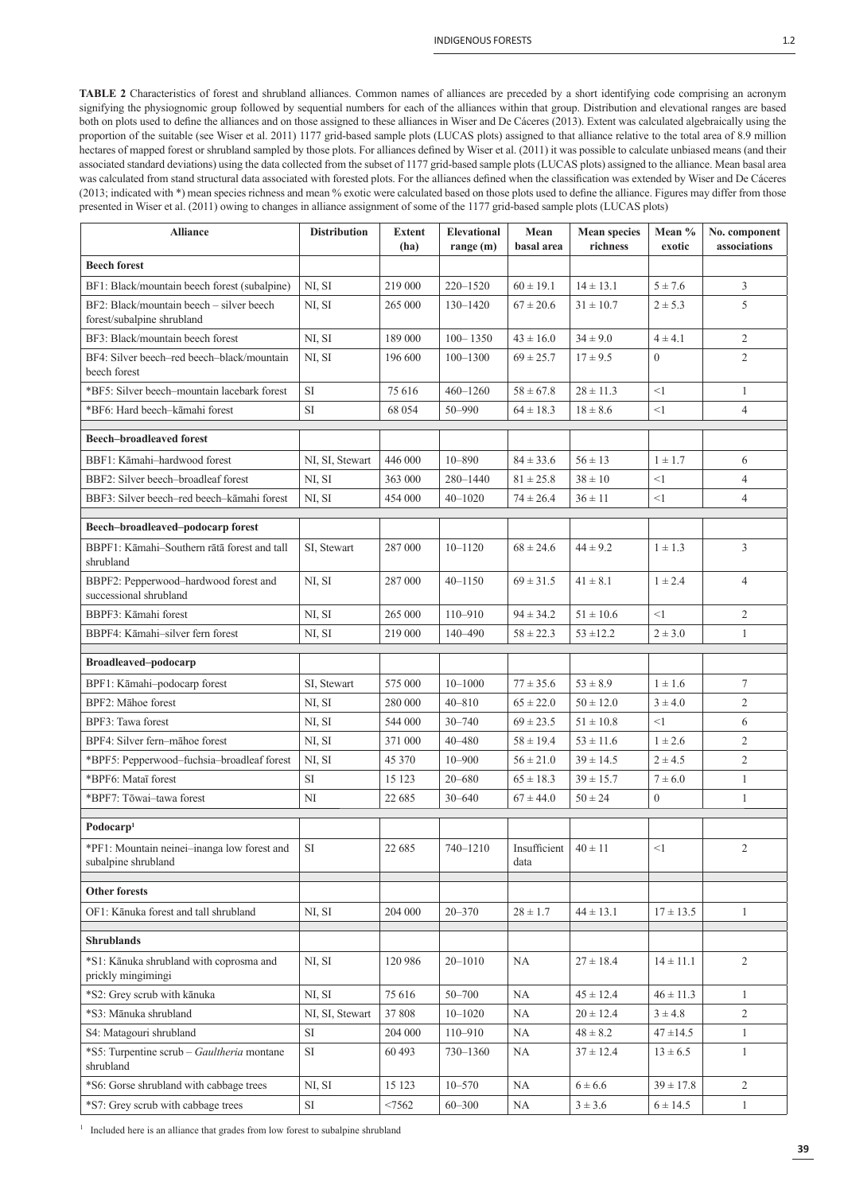**TABLE 2** Characteristics of forest and shrubland alliances. Common names of alliances are preceded by a short identifying code comprising an acronym signifying the physiognomic group followed by sequential numbers for each of the alliances within that group. Distribution and elevational ranges are based both on plots used to define the alliances and on those assigned to these alliances in Wiser and De Cáceres (2013). Extent was calculated algebraically using the proportion of the suitable (see Wiser et al. 2011) 1177 grid-based sample plots (LUCAS plots) assigned to that alliance relative to the total area of 8.9 million hectares of mapped forest or shrubland sampled by those plots. For alliances defined by Wiser et al. (2011) it was possible to calculate unbiased means (and their associated standard deviations) using the data collected from the subset of 1177 grid-based sample plots (LUCAS plots) assigned to the alliance. Mean basal area was calculated from stand structural data associated with forested plots. For the alliances defined when the classification was extended by Wiser and De Cáceres (2013; indicated with \*) mean species richness and mean % exotic were calculated based on those plots used to define the alliance. Figures may differ from those presented in Wiser et al. (2011) owing to changes in alliance assignment of some of the 1177 grid-based sample plots (LUCAS plots)

| <b>Alliance</b>                                                        | <b>Distribution</b>   | <b>Extent</b><br>(ha) | <b>Elevational</b><br>range $(m)$ | Mean<br>basal area             | <b>Mean species</b><br>richness | Mean %<br>exotic           | No. component<br>associations |
|------------------------------------------------------------------------|-----------------------|-----------------------|-----------------------------------|--------------------------------|---------------------------------|----------------------------|-------------------------------|
| <b>Beech forest</b>                                                    |                       |                       |                                   |                                |                                 |                            |                               |
| BF1: Black/mountain beech forest (subalpine)                           | NI, SI                | 219 000               | $220 - 1520$                      | $60 \pm 19.1$                  | $14 \pm 13.1$                   | $5 \pm 7.6$                | $\mathfrak{Z}$                |
| BF2: Black/mountain beech - silver beech<br>forest/subalpine shrubland | NI, SI                | 265 000               | 130-1420                          | $67 \pm 20.6$                  | $31 \pm 10.7$                   | $2 \pm 5.3$                | 5                             |
| BF3: Black/mountain beech forest                                       | NI, SI                | 189 000               | $100 - 1350$                      | $43 \pm 16.0$                  | $34 \pm 9.0$                    | $4 \pm 4.1$                | $\overline{2}$                |
| BF4: Silver beech-red beech-black/mountain<br>beech forest             | NI, SI                | 196 600               | $100 - 1300$                      | $69 \pm 25.7$                  | $17 \pm 9.5$                    | $\overline{0}$             | $\overline{2}$                |
| *BF5: Silver beech-mountain lacebark forest                            | <b>SI</b>             | 75 616                | $460 - 1260$                      | $58 \pm 67.8$                  | $28 \pm 11.3$                   | <1                         | $\mathbf{1}$                  |
| *BF6: Hard beech-kāmahi forest                                         | SI                    | 68 054                | 50-990                            | $64 \pm 18.3$                  | $18 \pm 8.6$                    | $<$ 1                      | $\overline{4}$                |
| <b>Beech-broadleaved forest</b>                                        |                       |                       |                                   |                                |                                 |                            |                               |
| BBF1: Kāmahi-hardwood forest                                           | NI, SI, Stewart       | 446 000               | $10 - 890$                        | $84 \pm 33.6$                  | $56 \pm 13$                     | $1 \pm 1.7$                | 6                             |
| BBF2: Silver beech-broadleaf forest                                    | NI, SI                | 363 000               | 280-1440                          | $81 \pm 25.8$                  | $38 \pm 10$                     | <1                         | $\overline{4}$                |
| BBF3: Silver beech-red beech-kāmahi forest                             | NI, SI                | 454 000               | $40 - 1020$                       | $74 \pm 26.4$                  | $36 \pm 11$                     | <1                         | $\overline{4}$                |
| Beech-broadleaved-podocarp forest                                      |                       |                       |                                   |                                |                                 |                            |                               |
| BBPF1: Kāmahi-Southern rātā forest and tall<br>shrubland               | SI, Stewart           | 287 000               | $10 - 1120$                       | $68 \pm 24.6$                  | $44 \pm 9.2$                    | $1 \pm 1.3$                | 3                             |
| BBPF2: Pepperwood-hardwood forest and<br>successional shrubland        | NI, SI                | 287 000               | $40 - 1150$                       | $69 \pm 31.5$                  | $41 \pm 8.1$                    | $1 \pm 2.4$                | $\overline{4}$                |
| BBPF3: Kāmahi forest                                                   | NI, SI                | 265 000               | 110-910                           | $94 \pm 34.2$                  | $51 \pm 10.6$                   | $\leq$ 1                   | 2                             |
| BBPF4: Kāmahi-silver fern forest                                       | NI, SI                | 219 000               | 140-490                           | $58 \pm 22.3$                  | $53 + 12.2$                     | $2 \pm 3.0$                | $\mathbf{1}$                  |
|                                                                        |                       |                       |                                   |                                |                                 |                            |                               |
| <b>Broadleaved-podocarp</b><br>BPF1: Kāmahi-podocarp forest            |                       | 575 000               | $10 - 1000$                       |                                |                                 |                            |                               |
| BPF2: Mahoe forest                                                     | SI, Stewart<br>NI, SI | 280 000               | $40 - 810$                        | $77 \pm 35.6$<br>$65 \pm 22.0$ | $53 \pm 8.9$<br>$50 \pm 12.0$   | $1 \pm 1.6$<br>$3 \pm 4.0$ | 7<br>$\overline{2}$           |
| BPF3: Tawa forest                                                      | NI, SI                | 544 000               | $30 - 740$                        | $69 \pm 23.5$                  | $51 \pm 10.8$                   | <1                         | 6                             |
| BPF4: Silver fern-māhoe forest                                         | NI, SI                | 371 000               | 40-480                            | $58 \pm 19.4$                  | $53 \pm 11.6$                   | $1 \pm 2.6$                | 2                             |
| *BPF5: Pepperwood-fuchsia-broadleaf forest                             | NI, SI                | 45 370                | $10 - 900$                        | $56 \pm 21.0$                  | $39 \pm 14.5$                   | $2 \pm 4.5$                | 2                             |
| *BPF6: Mataī forest                                                    | <b>SI</b>             | 15 123                | $20 - 680$                        | $65 \pm 18.3$                  | $39 \pm 15.7$                   | $7 \pm 6.0$                | $\mathbf{1}$                  |
| *BPF7: Tōwai-tawa forest                                               | NI                    | 22 685                | $30 - 640$                        | $67 \pm 44.0$                  | $50 \pm 24$                     | $\overline{0}$             | $\mathbf{1}$                  |
|                                                                        |                       |                       |                                   |                                |                                 |                            |                               |
| Podocarp <sup>1</sup>                                                  |                       |                       |                                   |                                |                                 |                            |                               |
| *PF1: Mountain neinei-inanga low forest and<br>subalpine shrubland     | <b>SI</b>             | 22 685                | 740-1210                          | Insufficient<br>data           | $40 \pm 11$                     | $<$ 1                      | 2                             |
| <b>Other forests</b>                                                   |                       |                       |                                   |                                |                                 |                            |                               |
| OF1: Kānuka forest and tall shrubland                                  | NI, SI                | 204 000               | $20 - 370$                        | $28 \pm 1.7$                   | $44 \pm 13.1$                   | $17 \pm 13.5$              | $\mathbf{1}$                  |
| <b>Shrublands</b>                                                      |                       |                       |                                   |                                |                                 |                            |                               |
| *S1: Kānuka shrubland with coprosma and<br>prickly mingimingi          | NI, SI                | 120 986               | $20 - 1010$                       | NA                             | $27 \pm 18.4$                   | $14 \pm 11.1$              | $\overline{2}$                |
| *S2: Grey scrub with kānuka                                            | NI, SI                | 75 616                | $50 - 700$                        | NA                             | $45 \pm 12.4$                   | $46 \pm 11.3$              | $\mathbf{1}$                  |
| *S3: Mānuka shrubland                                                  | NI, SI, Stewart       | 37 808                | $10 - 1020$                       | NA                             | $20 \pm 12.4$                   | $3 \pm 4.8$                | $\overline{2}$                |
| S4: Matagouri shrubland                                                | SI                    | 204 000               | 110-910                           | NA                             | $48 \pm 8.2$                    | $47 + 14.5$                | $\mathbf{1}$                  |
| *S5: Turpentine scrub - Gaultheria montane<br>shrubland                | <b>SI</b>             | 60 493                | 730-1360                          | NA                             | $37 \pm 12.4$                   | $13 \pm 6.5$               | $\mathbf{1}$                  |
| *S6: Gorse shrubland with cabbage trees                                | NI, SI                | 15 123                | $10 - 570$                        | NA                             | $6 \pm 6.6$                     | $39 \pm 17.8$              | $\overline{2}$                |
| *S7: Grey scrub with cabbage trees                                     | $\rm SI$              | < 7562                | $60 - 300$                        | NA                             | 3 ± 3.6                         | $6 \pm 14.5$               | $\mathbf{1}$                  |

<sup>1</sup> Included here is an alliance that grades from low forest to subalpine shrubland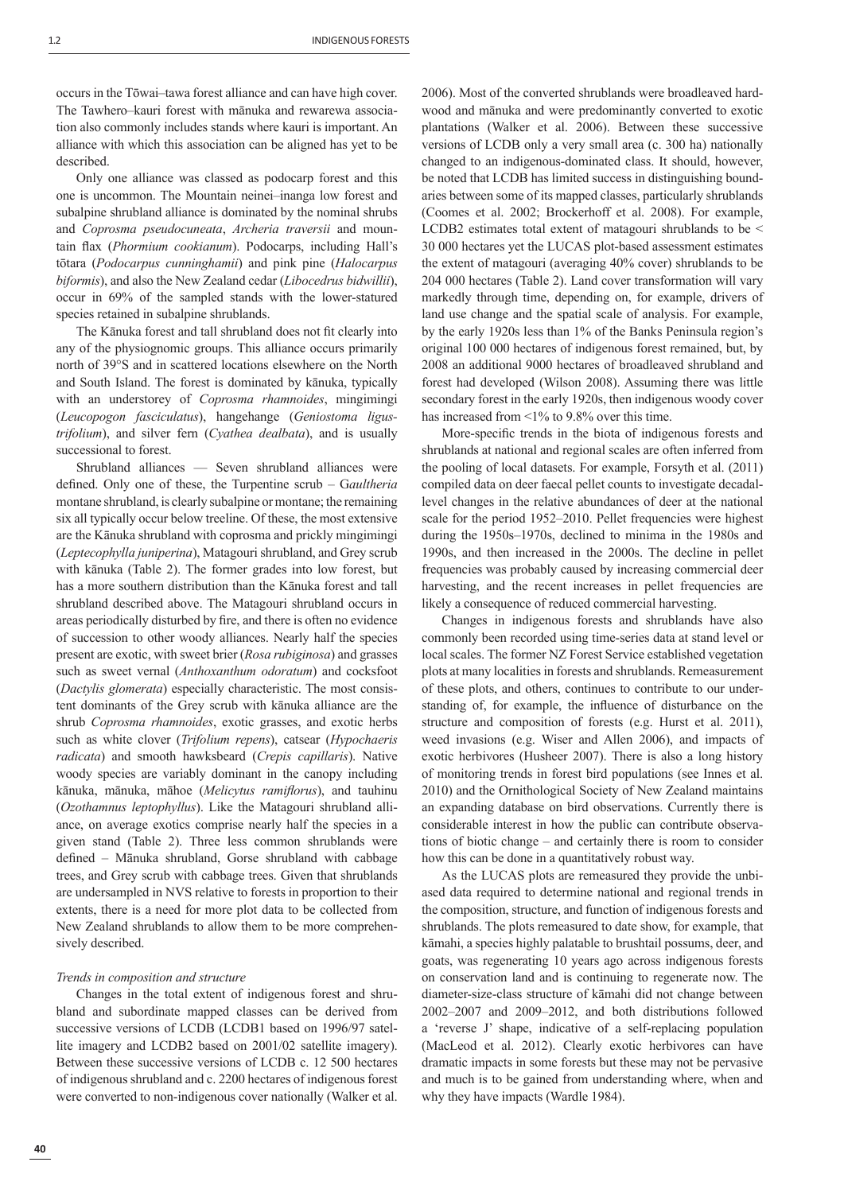occurs in the Tōwai–tawa forest alliance and can have high cover. The Tawhero–kauri forest with mānuka and rewarewa association also commonly includes stands where kauri is important. An alliance with which this association can be aligned has yet to be described.

Only one alliance was classed as podocarp forest and this one is uncommon. The Mountain neinei–inanga low forest and subalpine shrubland alliance is dominated by the nominal shrubs and *Coprosma pseudocuneata*, *Archeria traversii* and mountain flax (*Phormium cookianum*). Podocarps, including Hall's tōtara (*Podocarpus cunninghamii*) and pink pine (*Halocarpus biformis*), and also the New Zealand cedar (*Libocedrus bidwillii*), occur in 69% of the sampled stands with the lower-statured species retained in subalpine shrublands.

The Kānuka forest and tall shrubland does not fit clearly into any of the physiognomic groups. This alliance occurs primarily north of 39°S and in scattered locations elsewhere on the North and South Island. The forest is dominated by kānuka, typically with an understorey of *Coprosma rhamnoides*, mingimingi (*Leucopogon fasciculatus*), hangehange (*Geniostoma ligustrifolium*), and silver fern (*Cyathea dealbata*), and is usually successional to forest.

Shrubland alliances — Seven shrubland alliances were defined. Only one of these, the Turpentine scrub – G*aultheria* montane shrubland, is clearly subalpine or montane; the remaining six all typically occur below treeline. Of these, the most extensive are the Kānuka shrubland with coprosma and prickly mingimingi (*Leptecophylla juniperina*), Matagouri shrubland, and Grey scrub with kānuka (Table 2). The former grades into low forest, but has a more southern distribution than the Kānuka forest and tall shrubland described above. The Matagouri shrubland occurs in areas periodically disturbed by fire, and there is often no evidence of succession to other woody alliances. Nearly half the species present are exotic, with sweet brier (*Rosa rubiginosa*) and grasses such as sweet vernal (*Anthoxanthum odoratum*) and cocksfoot (*Dactylis glomerata*) especially characteristic. The most consistent dominants of the Grey scrub with kānuka alliance are the shrub *Coprosma rhamnoides*, exotic grasses, and exotic herbs such as white clover (*Trifolium repens*), catsear (*Hypochaeris radicata*) and smooth hawksbeard (*Crepis capillaris*). Native woody species are variably dominant in the canopy including kānuka, mānuka, māhoe (*Melicytus ramiflorus*), and tauhinu (*Ozothamnus leptophyllus*). Like the Matagouri shrubland alliance, on average exotics comprise nearly half the species in a given stand (Table 2). Three less common shrublands were defined – Mānuka shrubland, Gorse shrubland with cabbage trees, and Grey scrub with cabbage trees. Given that shrublands are undersampled in NVS relative to forests in proportion to their extents, there is a need for more plot data to be collected from New Zealand shrublands to allow them to be more comprehensively described.

## *Trends in composition and structure*

Changes in the total extent of indigenous forest and shrubland and subordinate mapped classes can be derived from successive versions of LCDB (LCDB1 based on 1996/97 satellite imagery and LCDB2 based on 2001/02 satellite imagery). Between these successive versions of LCDB c. 12 500 hectares of indigenous shrubland and c. 2200 hectares of indigenous forest were converted to non-indigenous cover nationally (Walker et al.

2006). Most of the converted shrublands were broadleaved hardwood and mānuka and were predominantly converted to exotic plantations (Walker et al. 2006). Between these successive versions of LCDB only a very small area (c. 300 ha) nationally changed to an indigenous-dominated class. It should, however, be noted that LCDB has limited success in distinguishing boundaries between some of its mapped classes, particularly shrublands (Coomes et al. 2002; Brockerhoff et al. 2008). For example, LCDB2 estimates total extent of matagouri shrublands to be < 30 000 hectares yet the LUCAS plot-based assessment estimates the extent of matagouri (averaging 40% cover) shrublands to be 204 000 hectares (Table 2). Land cover transformation will vary markedly through time, depending on, for example, drivers of land use change and the spatial scale of analysis. For example, by the early 1920s less than 1% of the Banks Peninsula region's original 100 000 hectares of indigenous forest remained, but, by 2008 an additional 9000 hectares of broadleaved shrubland and forest had developed (Wilson 2008). Assuming there was little secondary forest in the early 1920s, then indigenous woody cover has increased from <1% to 9.8% over this time.

More-specific trends in the biota of indigenous forests and shrublands at national and regional scales are often inferred from the pooling of local datasets. For example, Forsyth et al. (2011) compiled data on deer faecal pellet counts to investigate decadallevel changes in the relative abundances of deer at the national scale for the period 1952–2010. Pellet frequencies were highest during the 1950s–1970s, declined to minima in the 1980s and 1990s, and then increased in the 2000s. The decline in pellet frequencies was probably caused by increasing commercial deer harvesting, and the recent increases in pellet frequencies are likely a consequence of reduced commercial harvesting.

Changes in indigenous forests and shrublands have also commonly been recorded using time-series data at stand level or local scales. The former NZ Forest Service established vegetation plots at many localities in forests and shrublands. Remeasurement of these plots, and others, continues to contribute to our understanding of, for example, the influence of disturbance on the structure and composition of forests (e.g. Hurst et al. 2011), weed invasions (e.g. Wiser and Allen 2006), and impacts of exotic herbivores (Husheer 2007). There is also a long history of monitoring trends in forest bird populations (see Innes et al. 2010) and the Ornithological Society of New Zealand maintains an expanding database on bird observations. Currently there is considerable interest in how the public can contribute observations of biotic change – and certainly there is room to consider how this can be done in a quantitatively robust way.

As the LUCAS plots are remeasured they provide the unbiased data required to determine national and regional trends in the composition, structure, and function of indigenous forests and shrublands. The plots remeasured to date show, for example, that kāmahi, a species highly palatable to brushtail possums, deer, and goats, was regenerating 10 years ago across indigenous forests on conservation land and is continuing to regenerate now. The diameter-size-class structure of kāmahi did not change between 2002–2007 and 2009–2012, and both distributions followed a 'reverse J' shape, indicative of a self-replacing population (MacLeod et al. 2012). Clearly exotic herbivores can have dramatic impacts in some forests but these may not be pervasive and much is to be gained from understanding where, when and why they have impacts (Wardle 1984).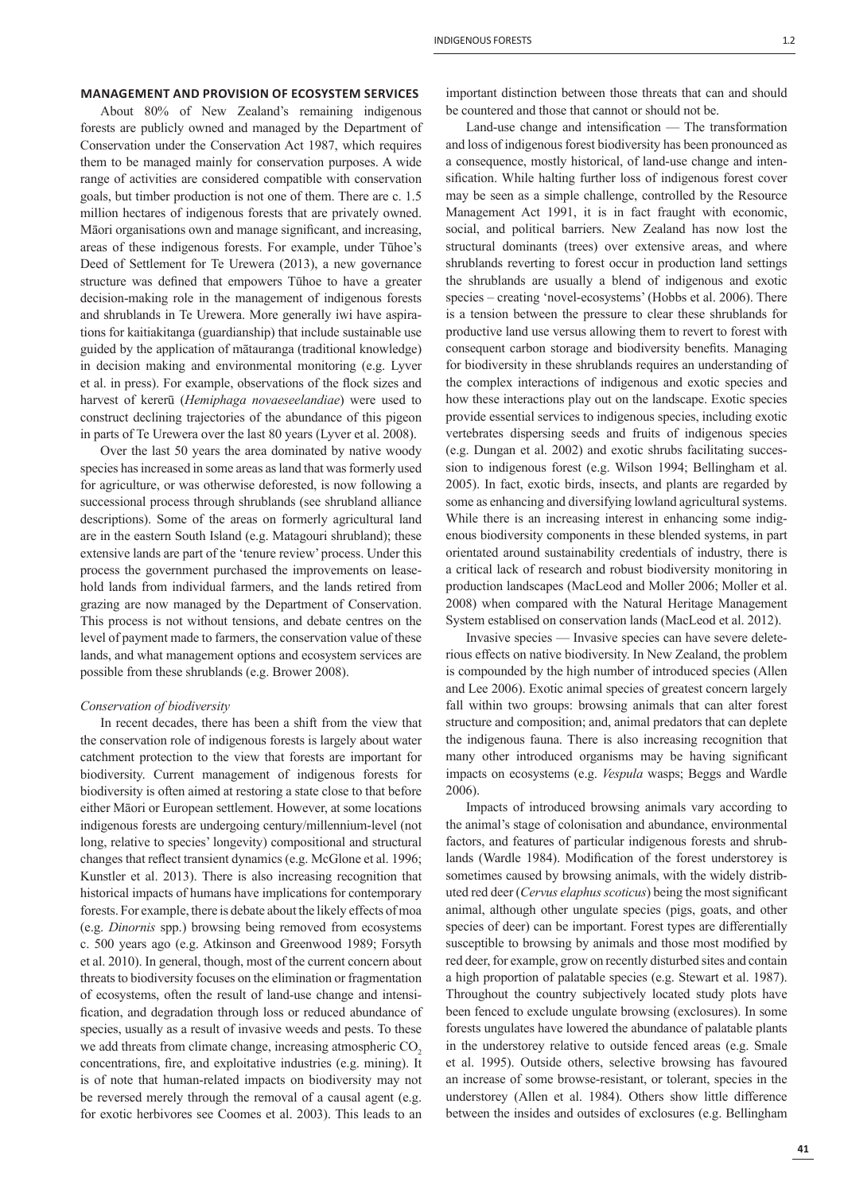# **MANAGEMENT AND PROVISION OF ECOSYSTEM SERVICES**

About 80% of New Zealand's remaining indigenous forests are publicly owned and managed by the Department of Conservation under the Conservation Act 1987, which requires them to be managed mainly for conservation purposes. A wide range of activities are considered compatible with conservation goals, but timber production is not one of them. There are c. 1.5 million hectares of indigenous forests that are privately owned. Māori organisations own and manage significant, and increasing, areas of these indigenous forests. For example, under Tūhoe's Deed of Settlement for Te Urewera (2013), a new governance structure was defined that empowers Tühoe to have a greater decision-making role in the management of indigenous forests and shrublands in Te Urewera. More generally iwi have aspirations for kaitiakitanga (guardianship) that include sustainable use guided by the application of mātauranga (traditional knowledge) in decision making and environmental monitoring (e.g. Lyver et al. in press). For example, observations of the flock sizes and harvest of kererū (*Hemiphaga novaeseelandiae*) were used to construct declining trajectories of the abundance of this pigeon in parts of Te Urewera over the last 80 years (Lyver et al. 2008).

Over the last 50 years the area dominated by native woody species has increased in some areas as land that was formerly used for agriculture, or was otherwise deforested, is now following a successional process through shrublands (see shrubland alliance descriptions). Some of the areas on formerly agricultural land are in the eastern South Island (e.g. Matagouri shrubland); these extensive lands are part of the 'tenure review' process. Under this process the government purchased the improvements on leasehold lands from individual farmers, and the lands retired from grazing are now managed by the Department of Conservation. This process is not without tensions, and debate centres on the level of payment made to farmers, the conservation value of these lands, and what management options and ecosystem services are possible from these shrublands (e.g. Brower 2008).

## *Conservation of biodiversity*

In recent decades, there has been a shift from the view that the conservation role of indigenous forests is largely about water catchment protection to the view that forests are important for biodiversity. Current management of indigenous forests for biodiversity is often aimed at restoring a state close to that before either Māori or European settlement. However, at some locations indigenous forests are undergoing century/millennium-level (not long, relative to species' longevity) compositional and structural changes that reflect transient dynamics (e.g. McGlone et al. 1996; Kunstler et al. 2013). There is also increasing recognition that historical impacts of humans have implications for contemporary forests. For example, there is debate about the likely effects of moa (e.g. *Dinornis* spp.) browsing being removed from ecosystems c. 500 years ago (e.g. Atkinson and Greenwood 1989; Forsyth et al. 2010). In general, though, most of the current concern about threats to biodiversity focuses on the elimination or fragmentation of ecosystems, often the result of land-use change and intensification, and degradation through loss or reduced abundance of species, usually as a result of invasive weeds and pests. To these we add threats from climate change, increasing atmospheric CO<sub>2</sub> concentrations, fire, and exploitative industries (e.g. mining). It is of note that human-related impacts on biodiversity may not be reversed merely through the removal of a causal agent (e.g. for exotic herbivores see Coomes et al. 2003). This leads to an

important distinction between those threats that can and should be countered and those that cannot or should not be.

Land-use change and intensification  $-$  The transformation and loss of indigenous forest biodiversity has been pronounced as a consequence, mostly historical, of land-use change and intensification. While halting further loss of indigenous forest cover may be seen as a simple challenge, controlled by the Resource Management Act 1991, it is in fact fraught with economic, social, and political barriers. New Zealand has now lost the structural dominants (trees) over extensive areas, and where shrublands reverting to forest occur in production land settings the shrublands are usually a blend of indigenous and exotic species – creating 'novel-ecosystems' (Hobbs et al. 2006). There is a tension between the pressure to clear these shrublands for productive land use versus allowing them to revert to forest with consequent carbon storage and biodiversity benefits. Managing for biodiversity in these shrublands requires an understanding of the complex interactions of indigenous and exotic species and how these interactions play out on the landscape. Exotic species provide essential services to indigenous species, including exotic vertebrates dispersing seeds and fruits of indigenous species (e.g. Dungan et al. 2002) and exotic shrubs facilitating succession to indigenous forest (e.g. Wilson 1994; Bellingham et al. 2005). In fact, exotic birds, insects, and plants are regarded by some as enhancing and diversifying lowland agricultural systems. While there is an increasing interest in enhancing some indigenous biodiversity components in these blended systems, in part orientated around sustainability credentials of industry, there is a critical lack of research and robust biodiversity monitoring in production landscapes (MacLeod and Moller 2006; Moller et al. 2008) when compared with the Natural Heritage Management System establised on conservation lands (MacLeod et al. 2012).

Invasive species — Invasive species can have severe deleterious effects on native biodiversity. In New Zealand, the problem is compounded by the high number of introduced species (Allen and Lee 2006). Exotic animal species of greatest concern largely fall within two groups: browsing animals that can alter forest structure and composition; and, animal predators that can deplete the indigenous fauna. There is also increasing recognition that many other introduced organisms may be having significant impacts on ecosystems (e.g. *Vespula* wasps; Beggs and Wardle 2006).

Impacts of introduced browsing animals vary according to the animal's stage of colonisation and abundance, environmental factors, and features of particular indigenous forests and shrublands (Wardle 1984). Modification of the forest understorey is sometimes caused by browsing animals, with the widely distributed red deer *(Cervus elaphus scoticus)* being the most significant animal, although other ungulate species (pigs, goats, and other species of deer) can be important. Forest types are differentially susceptible to browsing by animals and those most modified by red deer, for example, grow on recently disturbed sites and contain a high proportion of palatable species (e.g. Stewart et al. 1987). Throughout the country subjectively located study plots have been fenced to exclude ungulate browsing (exclosures). In some forests ungulates have lowered the abundance of palatable plants in the understorey relative to outside fenced areas (e.g. Smale et al. 1995). Outside others, selective browsing has favoured an increase of some browse-resistant, or tolerant, species in the understorey (Allen et al. 1984). Others show little difference between the insides and outsides of exclosures (e.g. Bellingham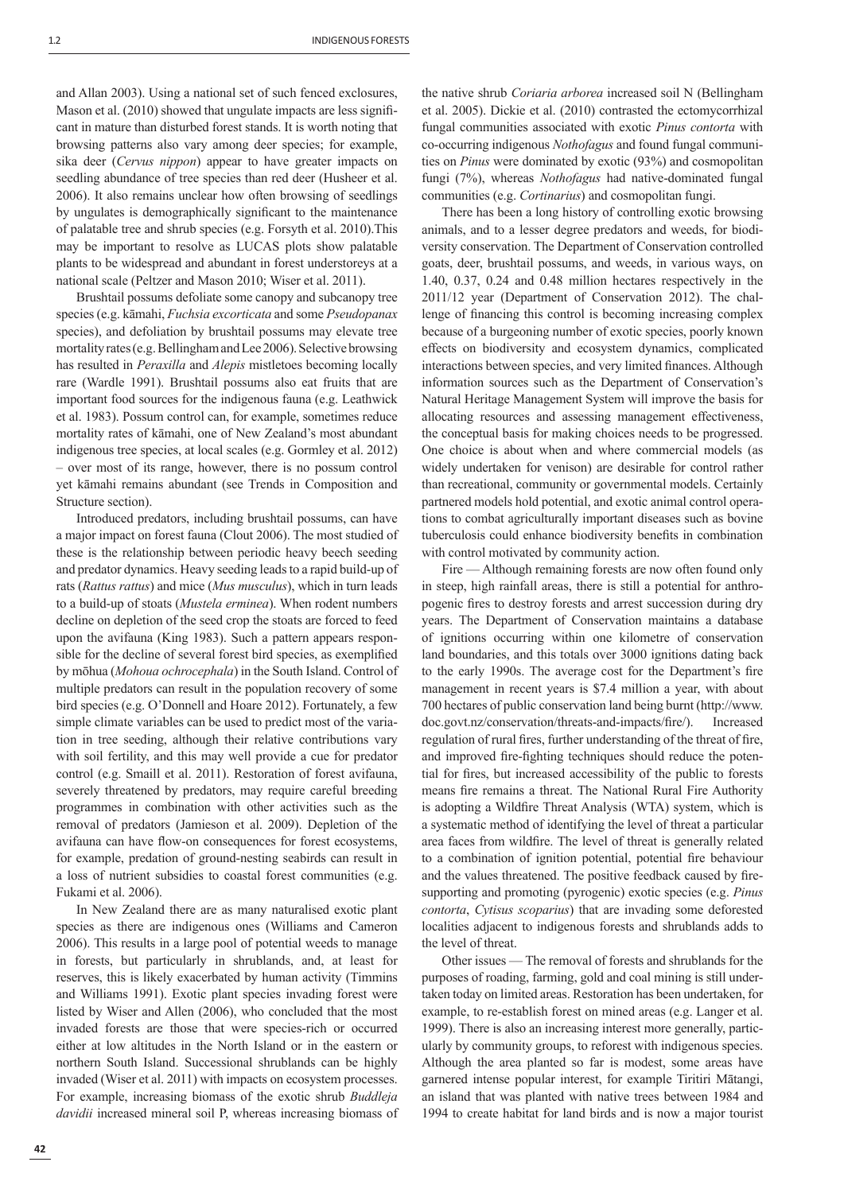and Allan 2003). Using a national set of such fenced exclosures, Mason et al. (2010) showed that ungulate impacts are less significant in mature than disturbed forest stands. It is worth noting that browsing patterns also vary among deer species; for example, sika deer (*Cervus nippon*) appear to have greater impacts on seedling abundance of tree species than red deer (Husheer et al. 2006). It also remains unclear how often browsing of seedlings by ungulates is demographically significant to the maintenance of palatable tree and shrub species (e.g. Forsyth et al. 2010).This may be important to resolve as LUCAS plots show palatable plants to be widespread and abundant in forest understoreys at a national scale (Peltzer and Mason 2010; Wiser et al. 2011).

Brushtail possums defoliate some canopy and subcanopy tree species (e.g. kāmahi, *Fuchsia excorticata* and some *Pseudopanax* species), and defoliation by brushtail possums may elevate tree mortality rates (e.g. Bellingham and Lee 2006). Selective browsing has resulted in *Peraxilla* and *Alepis* mistletoes becoming locally rare (Wardle 1991). Brushtail possums also eat fruits that are important food sources for the indigenous fauna (e.g. Leathwick et al. 1983). Possum control can, for example, sometimes reduce mortality rates of kāmahi, one of New Zealand's most abundant indigenous tree species, at local scales (e.g. Gormley et al. 2012) – over most of its range, however, there is no possum control yet kāmahi remains abundant (see Trends in Composition and Structure section).

Introduced predators, including brushtail possums, can have a major impact on forest fauna (Clout 2006). The most studied of these is the relationship between periodic heavy beech seeding and predator dynamics. Heavy seeding leads to a rapid build-up of rats (*Rattus rattus*) and mice (*Mus musculus*), which in turn leads to a build-up of stoats (*Mustela erminea*). When rodent numbers decline on depletion of the seed crop the stoats are forced to feed upon the avifauna (King 1983). Such a pattern appears responsible for the decline of several forest bird species, as exemplified by mōhua (*Mohoua ochrocephala*) in the South Island. Control of multiple predators can result in the population recovery of some bird species (e.g. O'Donnell and Hoare 2012). Fortunately, a few simple climate variables can be used to predict most of the variation in tree seeding, although their relative contributions vary with soil fertility, and this may well provide a cue for predator control (e.g. Smaill et al. 2011). Restoration of forest avifauna, severely threatened by predators, may require careful breeding programmes in combination with other activities such as the removal of predators (Jamieson et al. 2009). Depletion of the avifauna can have flow-on consequences for forest ecosystems, for example, predation of ground-nesting seabirds can result in a loss of nutrient subsidies to coastal forest communities (e.g. Fukami et al. 2006).

In New Zealand there are as many naturalised exotic plant species as there are indigenous ones (Williams and Cameron 2006). This results in a large pool of potential weeds to manage in forests, but particularly in shrublands, and, at least for reserves, this is likely exacerbated by human activity (Timmins and Williams 1991). Exotic plant species invading forest were listed by Wiser and Allen (2006), who concluded that the most invaded forests are those that were species-rich or occurred either at low altitudes in the North Island or in the eastern or northern South Island. Successional shrublands can be highly invaded (Wiser et al. 2011) with impacts on ecosystem processes. For example, increasing biomass of the exotic shrub *Buddleja davidii* increased mineral soil P, whereas increasing biomass of the native shrub *Coriaria arborea* increased soil N (Bellingham et al. 2005). Dickie et al. (2010) contrasted the ectomycorrhizal fungal communities associated with exotic *Pinus contorta* with co-occurring indigenous *Nothofagus* and found fungal communities on *Pinus* were dominated by exotic (93%) and cosmopolitan fungi (7%), whereas *Nothofagus* had native-dominated fungal communities (e.g. *Cortinarius*) and cosmopolitan fungi.

There has been a long history of controlling exotic browsing animals, and to a lesser degree predators and weeds, for biodiversity conservation. The Department of Conservation controlled goats, deer, brushtail possums, and weeds, in various ways, on 1.40, 0.37, 0.24 and 0.48 million hectares respectively in the 2011/12 year (Department of Conservation 2012). The challenge of financing this control is becoming increasing complex because of a burgeoning number of exotic species, poorly known effects on biodiversity and ecosystem dynamics, complicated interactions between species, and very limited finances. Although information sources such as the Department of Conservation's Natural Heritage Management System will improve the basis for allocating resources and assessing management effectiveness, the conceptual basis for making choices needs to be progressed. One choice is about when and where commercial models (as widely undertaken for venison) are desirable for control rather than recreational, community or governmental models. Certainly partnered models hold potential, and exotic animal control operations to combat agriculturally important diseases such as bovine tuberculosis could enhance biodiversity benefits in combination with control motivated by community action.

Fire — Although remaining forests are now often found only in steep, high rainfall areas, there is still a potential for anthropogenic fires to destroy forests and arrest succession during dry years. The Department of Conservation maintains a database of ignitions occurring within one kilometre of conservation land boundaries, and this totals over 3000 ignitions dating back to the early 1990s. The average cost for the Department's fire management in recent years is \$7.4 million a year, with about 700 hectares of public conservation land being burnt (http://www. doc.govt.nz/conservation/threats-and-impacts/fire/). Increased regulation of rural fires, further understanding of the threat of fire, and improved fire-fighting techniques should reduce the potential for fires, but increased accessibility of the public to forests means fire remains a threat. The National Rural Fire Authority is adopting a Wildfire Threat Analysis (WTA) system, which is a systematic method of identifying the level of threat a particular area faces from wildfire. The level of threat is generally related to a combination of ignition potential, potential fire behaviour and the values threatened. The positive feedback caused by firesupporting and promoting (pyrogenic) exotic species (e.g. *Pinus contorta*, *Cytisus scoparius*) that are invading some deforested localities adjacent to indigenous forests and shrublands adds to the level of threat.

Other issues — The removal of forests and shrublands for the purposes of roading, farming, gold and coal mining is still undertaken today on limited areas. Restoration has been undertaken, for example, to re-establish forest on mined areas (e.g. Langer et al. 1999). There is also an increasing interest more generally, particularly by community groups, to reforest with indigenous species. Although the area planted so far is modest, some areas have garnered intense popular interest, for example Tiritiri Mātangi, an island that was planted with native trees between 1984 and 1994 to create habitat for land birds and is now a major tourist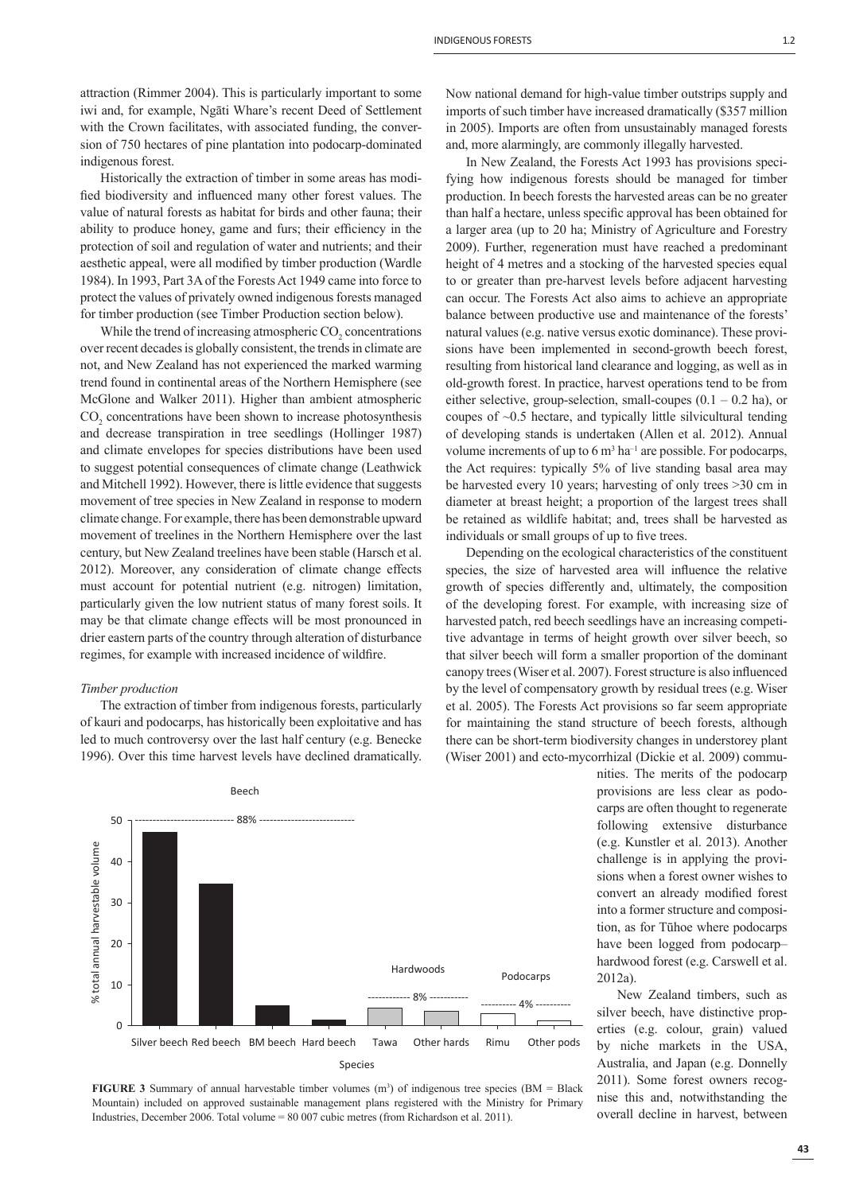attraction (Rimmer 2004). This is particularly important to some iwi and, for example, Ngāti Whare's recent Deed of Settlement with the Crown facilitates, with associated funding, the conversion of 750 hectares of pine plantation into podocarp-dominated indigenous forest.

Historically the extraction of timber in some areas has modified biodiversity and influenced many other forest values. The value of natural forests as habitat for birds and other fauna; their ability to produce honey, game and furs; their efficiency in the protection of soil and regulation of water and nutrients; and their aesthetic appeal, were all modified by timber production (Wardle 1984). In 1993, Part 3A of the Forests Act 1949 came into force to protect the values of privately owned indigenous forests managed for timber production (see Timber Production section below).

While the trend of increasing atmospheric  $\mathrm{CO}_2$  concentrations over recent decades is globally consistent, the trends in climate are not, and New Zealand has not experienced the marked warming trend found in continental areas of the Northern Hemisphere (see McGlone and Walker 2011). Higher than ambient atmospheric  $CO<sub>2</sub>$  concentrations have been shown to increase photosynthesis and decrease transpiration in tree seedlings (Hollinger 1987) and climate envelopes for species distributions have been used to suggest potential consequences of climate change (Leathwick and Mitchell 1992). However, there is little evidence that suggests movement of tree species in New Zealand in response to modern climate change. For example, there has been demonstrable upward movement of treelines in the Northern Hemisphere over the last century, but New Zealand treelines have been stable (Harsch et al. 2012). Moreover, any consideration of climate change effects must account for potential nutrient (e.g. nitrogen) limitation, particularly given the low nutrient status of many forest soils. It may be that climate change effects will be most pronounced in drier eastern parts of the country through alteration of disturbance regimes, for example with increased incidence of wildfire.

## *Timber production*

The extraction of timber from indigenous forests, particularly of kauri and podocarps, has historically been exploitative and has led to much controversy over the last half century (e.g. Benecke 1996). Over this time harvest levels have declined dramatically.



**FIGURE 3** Summary of annual harvestable timber volumes  $(m^3)$  of indigenous tree species (BM = Black Mountain) included on approved sustainable management plans registered with the Ministry for Primary Industries, December 2006. Total volume = 80 007 cubic metres (from Richardson et al. 2011).

Now national demand for high-value timber outstrips supply and imports of such timber have increased dramatically (\$357 million in 2005). Imports are often from unsustainably managed forests and, more alarmingly, are commonly illegally harvested.

In New Zealand, the Forests Act 1993 has provisions specifying how indigenous forests should be managed for timber production. In beech forests the harvested areas can be no greater than half a hectare, unless specific approval has been obtained for a larger area (up to 20 ha; Ministry of Agriculture and Forestry 2009). Further, regeneration must have reached a predominant height of 4 metres and a stocking of the harvested species equal to or greater than pre-harvest levels before adjacent harvesting can occur. The Forests Act also aims to achieve an appropriate balance between productive use and maintenance of the forests' natural values (e.g. native versus exotic dominance). These provisions have been implemented in second-growth beech forest, resulting from historical land clearance and logging, as well as in old-growth forest. In practice, harvest operations tend to be from either selective, group-selection, small-coupes  $(0.1 - 0.2)$  ha), or coupes of ~0.5 hectare, and typically little silvicultural tending of developing stands is undertaken (Allen et al. 2012). Annual volume increments of up to  $6 \text{ m}^3$  ha<sup>-1</sup> are possible. For podocarps, the Act requires: typically 5% of live standing basal area may be harvested every 10 years; harvesting of only trees >30 cm in diameter at breast height; a proportion of the largest trees shall be retained as wildlife habitat; and, trees shall be harvested as individuals or small groups of up to five trees.

Depending on the ecological characteristics of the constituent species, the size of harvested area will influence the relative growth of species differently and, ultimately, the composition of the developing forest. For example, with increasing size of harvested patch, red beech seedlings have an increasing competitive advantage in terms of height growth over silver beech, so that silver beech will form a smaller proportion of the dominant canopy trees (Wiser et al. 2007). Forest structure is also influenced by the level of compensatory growth by residual trees (e.g. Wiser et al. 2005). The Forests Act provisions so far seem appropriate for maintaining the stand structure of beech forests, although there can be short-term biodiversity changes in understorey plant (Wiser 2001) and ecto-mycorrhizal (Dickie et al. 2009) commu-

> nities. The merits of the podocarp provisions are less clear as podocarps are often thought to regenerate following extensive disturbance (e.g. Kunstler et al. 2013). Another challenge is in applying the provisions when a forest owner wishes to convert an already modified forest into a former structure and composition, as for Tūhoe where podocarps have been logged from podocarp– hardwood forest (e.g. Carswell et al. 2012a).

> New Zealand timbers, such as silver beech, have distinctive properties (e.g. colour, grain) valued by niche markets in the USA, Australia, and Japan (e.g. Donnelly 2011). Some forest owners recognise this and, notwithstanding the overall decline in harvest, between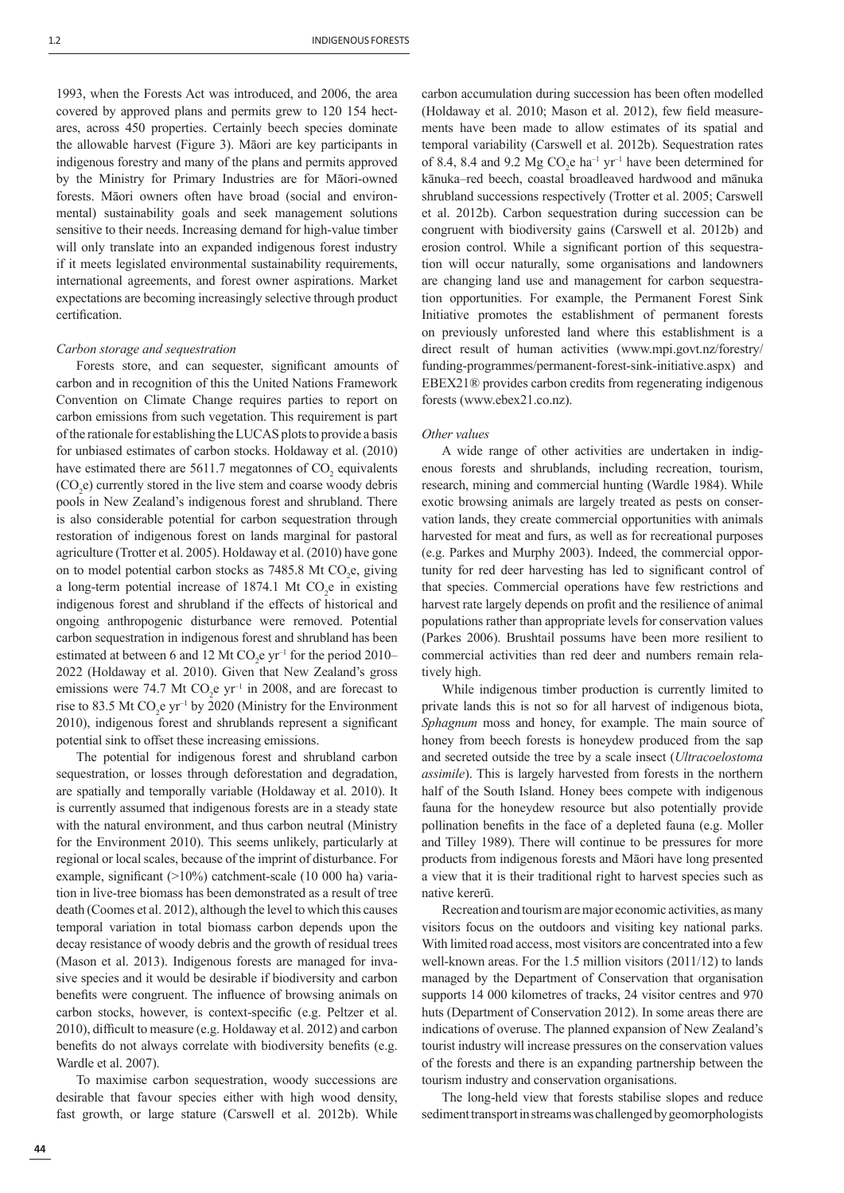1993, when the Forests Act was introduced, and 2006, the area covered by approved plans and permits grew to 120 154 hectares, across 450 properties. Certainly beech species dominate the allowable harvest (Figure 3). Māori are key participants in indigenous forestry and many of the plans and permits approved by the Ministry for Primary Industries are for Māori-owned forests. Māori owners often have broad (social and environmental) sustainability goals and seek management solutions sensitive to their needs. Increasing demand for high-value timber will only translate into an expanded indigenous forest industry if it meets legislated environmental sustainability requirements, international agreements, and forest owner aspirations. Market expectations are becoming increasingly selective through product certification.

## *Carbon storage and sequestration*

Forests store, and can sequester, significant amounts of carbon and in recognition of this the United Nations Framework Convention on Climate Change requires parties to report on carbon emissions from such vegetation. This requirement is part of the rationale for establishing the LUCAS plots to provide a basis for unbiased estimates of carbon stocks. Holdaway et al. (2010) have estimated there are 5611.7 megatonnes of  $CO<sub>2</sub>$  equivalents  $(CO<sub>2</sub>e)$  currently stored in the live stem and coarse woody debris pools in New Zealand's indigenous forest and shrubland. There is also considerable potential for carbon sequestration through restoration of indigenous forest on lands marginal for pastoral agriculture (Trotter et al. 2005). Holdaway et al. (2010) have gone on to model potential carbon stocks as  $7485.8$  Mt CO<sub>2</sub>e, giving a long-term potential increase of  $1874.1$  Mt CO<sub>2</sub>e in existing indigenous forest and shrubland if the effects of historical and ongoing anthropogenic disturbance were removed. Potential carbon sequestration in indigenous forest and shrubland has been estimated at between 6 and 12 Mt  $CO_2$ e yr<sup>-1</sup> for the period 2010– 2022 (Holdaway et al. 2010). Given that New Zealand's gross emissions were 74.7 Mt  $CO<sub>2</sub>e yr<sup>-1</sup>$  in 2008, and are forecast to rise to 83.5 Mt  $CO_2$ e yr<sup>-1</sup> by 2020 (Ministry for the Environment 2010), indigenous forest and shrublands represent a significant potential sink to offset these increasing emissions.

The potential for indigenous forest and shrubland carbon sequestration, or losses through deforestation and degradation, are spatially and temporally variable (Holdaway et al. 2010). It is currently assumed that indigenous forests are in a steady state with the natural environment, and thus carbon neutral (Ministry for the Environment 2010). This seems unlikely, particularly at regional or local scales, because of the imprint of disturbance. For example, significant  $(>10\%)$  catchment-scale (10 000 ha) variation in live-tree biomass has been demonstrated as a result of tree death (Coomes et al. 2012), although the level to which this causes temporal variation in total biomass carbon depends upon the decay resistance of woody debris and the growth of residual trees (Mason et al. 2013). Indigenous forests are managed for invasive species and it would be desirable if biodiversity and carbon benefits were congruent. The influence of browsing animals on carbon stocks, however, is context-specific (e.g. Peltzer et al. 2010), difficult to measure (e.g. Holdaway et al. 2012) and carbon benefits do not always correlate with biodiversity benefits (e.g. Wardle et al. 2007).

To maximise carbon sequestration, woody successions are desirable that favour species either with high wood density, fast growth, or large stature (Carswell et al. 2012b). While carbon accumulation during succession has been often modelled (Holdaway et al. 2010; Mason et al. 2012), few field measurements have been made to allow estimates of its spatial and temporal variability (Carswell et al. 2012b). Sequestration rates of 8.4, 8.4 and 9.2 Mg  $CO<sub>2</sub>e$  ha<sup>-1</sup> yr<sup>-1</sup> have been determined for kānuka–red beech, coastal broadleaved hardwood and mānuka shrubland successions respectively (Trotter et al. 2005; Carswell et al. 2012b). Carbon sequestration during succession can be congruent with biodiversity gains (Carswell et al. 2012b) and erosion control. While a significant portion of this sequestration will occur naturally, some organisations and landowners are changing land use and management for carbon sequestration opportunities. For example, the Permanent Forest Sink Initiative promotes the establishment of permanent forests on previously unforested land where this establishment is a direct result of human activities (www.mpi.govt.nz/forestry/ funding-programmes/permanent-forest-sink-initiative.aspx) and EBEX21® provides carbon credits from regenerating indigenous forests (www.ebex21.co.nz).

### *Other values*

A wide range of other activities are undertaken in indigenous forests and shrublands, including recreation, tourism, research, mining and commercial hunting (Wardle 1984). While exotic browsing animals are largely treated as pests on conservation lands, they create commercial opportunities with animals harvested for meat and furs, as well as for recreational purposes (e.g. Parkes and Murphy 2003). Indeed, the commercial opportunity for red deer harvesting has led to significant control of that species. Commercial operations have few restrictions and harvest rate largely depends on profit and the resilience of animal populations rather than appropriate levels for conservation values (Parkes 2006). Brushtail possums have been more resilient to commercial activities than red deer and numbers remain relatively high.

While indigenous timber production is currently limited to private lands this is not so for all harvest of indigenous biota, *Sphagnum* moss and honey, for example. The main source of honey from beech forests is honeydew produced from the sap and secreted outside the tree by a scale insect (*Ultracoelostoma assimile*). This is largely harvested from forests in the northern half of the South Island. Honey bees compete with indigenous fauna for the honeydew resource but also potentially provide pollination benefits in the face of a depleted fauna (e.g. Moller and Tilley 1989). There will continue to be pressures for more products from indigenous forests and Māori have long presented a view that it is their traditional right to harvest species such as native kererū.

Recreation and tourism are major economic activities, as many visitors focus on the outdoors and visiting key national parks. With limited road access, most visitors are concentrated into a few well-known areas. For the 1.5 million visitors (2011/12) to lands managed by the Department of Conservation that organisation supports 14 000 kilometres of tracks, 24 visitor centres and 970 huts (Department of Conservation 2012). In some areas there are indications of overuse. The planned expansion of New Zealand's tourist industry will increase pressures on the conservation values of the forests and there is an expanding partnership between the tourism industry and conservation organisations.

The long-held view that forests stabilise slopes and reduce sediment transport in streams was challenged by geomorphologists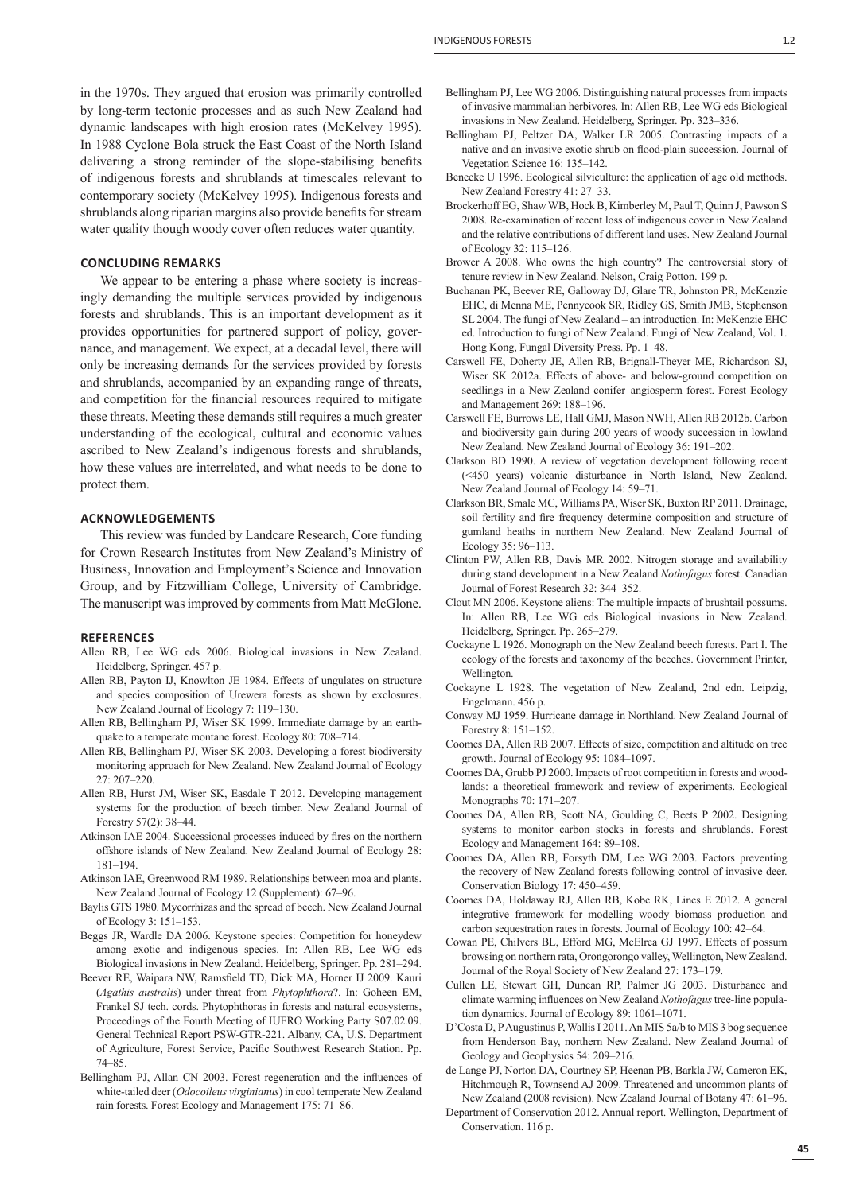#### **CONCLUDING REMARKS**

We appear to be entering a phase where society is increasingly demanding the multiple services provided by indigenous forests and shrublands. This is an important development as it provides opportunities for partnered support of policy, governance, and management. We expect, at a decadal level, there will only be increasing demands for the services provided by forests and shrublands, accompanied by an expanding range of threats, and competition for the financial resources required to mitigate these threats. Meeting these demands still requires a much greater understanding of the ecological, cultural and economic values ascribed to New Zealand's indigenous forests and shrublands, how these values are interrelated, and what needs to be done to protect them.

## **ACKNOWLEDGEMENTS**

This review was funded by Landcare Research, Core funding for Crown Research Institutes from New Zealand's Ministry of Business, Innovation and Employment's Science and Innovation Group, and by Fitzwilliam College, University of Cambridge. The manuscript was improved by comments from Matt McGlone.

#### **REFERENCES**

- Allen RB, Lee WG eds 2006. Biological invasions in New Zealand. Heidelberg, Springer. 457 p.
- Allen RB, Payton IJ, Knowlton JE 1984. Effects of ungulates on structure and species composition of Urewera forests as shown by exclosures. New Zealand Journal of Ecology 7: 119–130.
- Allen RB, Bellingham PJ, Wiser SK 1999. Immediate damage by an earthquake to a temperate montane forest. Ecology 80: 708–714.
- Allen RB, Bellingham PJ, Wiser SK 2003. Developing a forest biodiversity monitoring approach for New Zealand. New Zealand Journal of Ecology 27: 207–220.
- Allen RB, Hurst JM, Wiser SK, Easdale T 2012. Developing management systems for the production of beech timber. New Zealand Journal of Forestry 57(2): 38–44.
- Atkinson IAE 2004. Successional processes induced by fires on the northern offshore islands of New Zealand. New Zealand Journal of Ecology 28: 181–194.
- Atkinson IAE, Greenwood RM 1989. Relationships between moa and plants. New Zealand Journal of Ecology 12 (Supplement): 67–96.
- Baylis GTS 1980. Mycorrhizas and the spread of beech. New Zealand Journal of Ecology 3: 151–153.
- Beggs JR, Wardle DA 2006. Keystone species: Competition for honeydew among exotic and indigenous species. In: Allen RB, Lee WG eds Biological invasions in New Zealand. Heidelberg, Springer. Pp. 281–294.
- Beever RE, Waipara NW, Ramsfield TD, Dick MA, Horner IJ 2009. Kauri (*Agathis australis*) under threat from *Phytophthora*?. In: Goheen EM, Frankel SJ tech. cords. Phytophthoras in forests and natural ecosystems, Proceedings of the Fourth Meeting of IUFRO Working Party S07.02.09. General Technical Report PSW-GTR-221. Albany, CA, U.S. Department of Agriculture, Forest Service, Pacific Southwest Research Station. Pp. 74–85.
- Bellingham PJ, Allan CN 2003. Forest regeneration and the influences of white-tailed deer (*Odocoileus virginianus*) in cool temperate New Zealand rain forests. Forest Ecology and Management 175: 71–86.
- Bellingham PJ, Lee WG 2006. Distinguishing natural processes from impacts of invasive mammalian herbivores. In: Allen RB, Lee WG eds Biological invasions in New Zealand. Heidelberg, Springer. Pp. 323–336.
- Bellingham PJ, Peltzer DA, Walker LR 2005. Contrasting impacts of a native and an invasive exotic shrub on flood-plain succession. Journal of Vegetation Science 16: 135–142.
- Benecke U 1996. Ecological silviculture: the application of age old methods. New Zealand Forestry 41: 27–33.
- Brockerhoff EG, Shaw WB, Hock B, Kimberley M, Paul T, Quinn J, Pawson S 2008. Re-examination of recent loss of indigenous cover in New Zealand and the relative contributions of different land uses. New Zealand Journal of Ecology 32: 115–126.
- Brower A 2008. Who owns the high country? The controversial story of tenure review in New Zealand. Nelson, Craig Potton. 199 p.
- Buchanan PK, Beever RE, Galloway DJ, Glare TR, Johnston PR, McKenzie EHC, di Menna ME, Pennycook SR, Ridley GS, Smith JMB, Stephenson SL 2004. The fungi of New Zealand – an introduction. In: McKenzie EHC ed. Introduction to fungi of New Zealand. Fungi of New Zealand, Vol. 1. Hong Kong, Fungal Diversity Press. Pp. 1–48.
- Carswell FE, Doherty JE, Allen RB, Brignall-Theyer ME, Richardson SJ, Wiser SK 2012a. Effects of above- and below-ground competition on seedlings in a New Zealand conifer–angiosperm forest. Forest Ecology and Management 269: 188–196.
- Carswell FE, Burrows LE, Hall GMJ, Mason NWH, Allen RB 2012b. Carbon and biodiversity gain during 200 years of woody succession in lowland New Zealand. New Zealand Journal of Ecology 36: 191–202.
- Clarkson BD 1990. A review of vegetation development following recent (<450 years) volcanic disturbance in North Island, New Zealand. New Zealand Journal of Ecology 14: 59–71.
- Clarkson BR, Smale MC, Williams PA, Wiser SK, Buxton RP 2011. Drainage, soil fertility and fire frequency determine composition and structure of gumland heaths in northern New Zealand. New Zealand Journal of Ecology 35: 96–113.
- Clinton PW, Allen RB, Davis MR 2002. Nitrogen storage and availability during stand development in a New Zealand *Nothofagus* forest. Canadian Journal of Forest Research 32: 344–352.
- Clout MN 2006. Keystone aliens: The multiple impacts of brushtail possums. In: Allen RB, Lee WG eds Biological invasions in New Zealand. Heidelberg, Springer. Pp. 265–279.
- Cockayne L 1926. Monograph on the New Zealand beech forests. Part I. The ecology of the forests and taxonomy of the beeches. Government Printer, Wellington.
- Cockayne L 1928. The vegetation of New Zealand, 2nd edn. Leipzig, Engelmann. 456 p.
- Conway MJ 1959. Hurricane damage in Northland. New Zealand Journal of Forestry 8: 151–152.
- Coomes DA, Allen RB 2007. Effects of size, competition and altitude on tree growth. Journal of Ecology 95: 1084–1097.
- Coomes DA, Grubb PJ 2000. Impacts of root competition in forests and woodlands: a theoretical framework and review of experiments. Ecological Monographs 70: 171–207.
- Coomes DA, Allen RB, Scott NA, Goulding C, Beets P 2002. Designing systems to monitor carbon stocks in forests and shrublands. Forest Ecology and Management 164: 89–108.
- Coomes DA, Allen RB, Forsyth DM, Lee WG 2003. Factors preventing the recovery of New Zealand forests following control of invasive deer. Conservation Biology 17: 450–459.
- Coomes DA, Holdaway RJ, Allen RB, Kobe RK, Lines E 2012. A general integrative framework for modelling woody biomass production and carbon sequestration rates in forests. Journal of Ecology 100: 42–64.
- Cowan PE, Chilvers BL, Efford MG, McElrea GJ 1997. Effects of possum browsing on northern rata, Orongorongo valley, Wellington, New Zealand. Journal of the Royal Society of New Zealand 27: 173–179.
- Cullen LE, Stewart GH, Duncan RP, Palmer JG 2003. Disturbance and climate warming influences on New Zealand *Nothofagus* tree-line population dynamics. Journal of Ecology 89: 1061–1071.
- D'Costa D, P Augustinus P, Wallis I 2011. An MIS 5a/b to MIS 3 bog sequence from Henderson Bay, northern New Zealand. New Zealand Journal of Geology and Geophysics 54: 209–216.
- de Lange PJ, Norton DA, Courtney SP, Heenan PB, Barkla JW, Cameron EK, Hitchmough R, Townsend AJ 2009. Threatened and uncommon plants of New Zealand (2008 revision). New Zealand Journal of Botany 47: 61–96.
- Department of Conservation 2012. Annual report. Wellington, Department of Conservation. 116 p.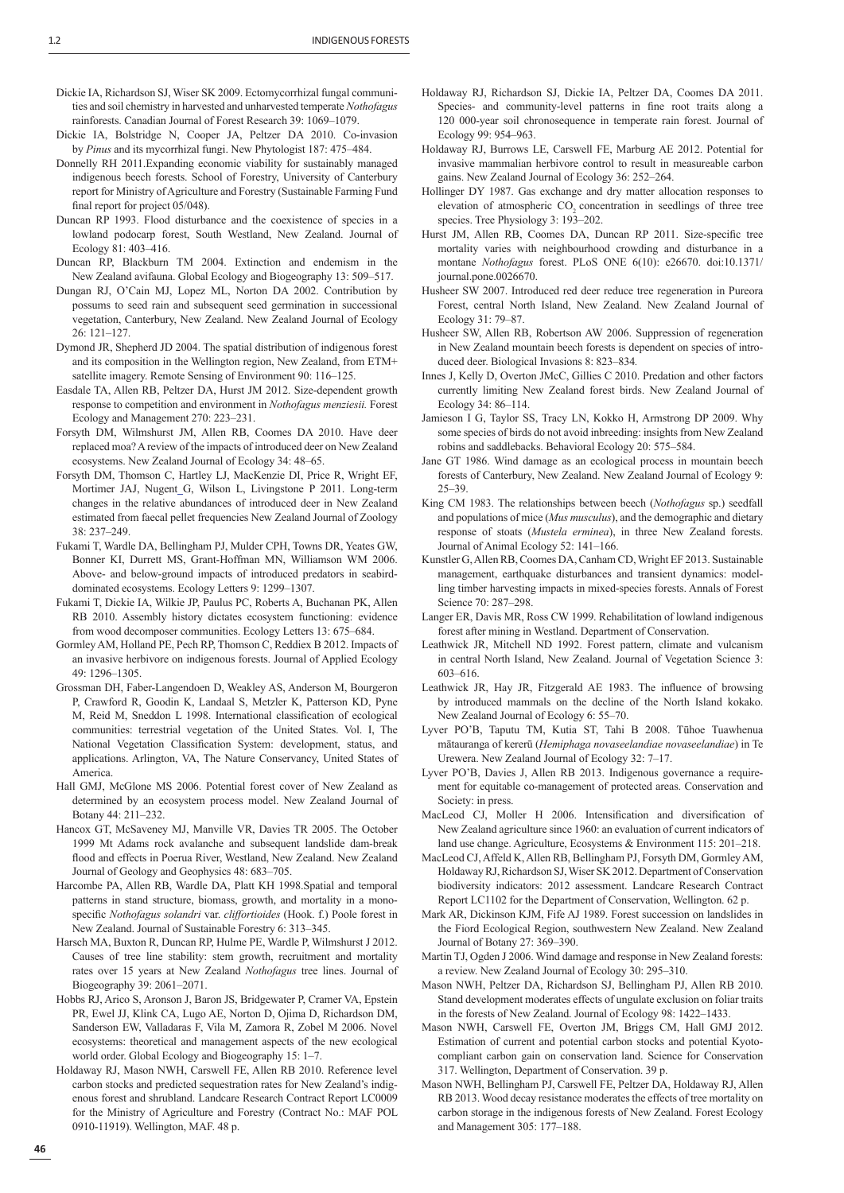- Dickie IA, Richardson SJ, Wiser SK 2009. Ectomycorrhizal fungal communities and soil chemistry in harvested and unharvested temperate *Nothofagus*  rainforests. Canadian Journal of Forest Research 39: 1069–1079.
- Dickie IA, Bolstridge N, Cooper JA, Peltzer DA 2010. Co-invasion by *Pinus* and its mycorrhizal fungi. New Phytologist 187: 475–484.
- Donnelly RH 2011.Expanding economic viability for sustainably managed indigenous beech forests. School of Forestry, University of Canterbury report for Ministry of Agriculture and Forestry (Sustainable Farming Fund final report for project 05/048).
- Duncan RP 1993. Flood disturbance and the coexistence of species in a lowland podocarp forest, South Westland, New Zealand. Journal of Ecology 81: 403–416.
- Duncan RP, Blackburn TM 2004. Extinction and endemism in the New Zealand avifauna. Global Ecology and Biogeography 13: 509–517.
- Dungan RJ, O'Cain MJ, Lopez ML, Norton DA 2002. Contribution by possums to seed rain and subsequent seed germination in successional vegetation, Canterbury, New Zealand. New Zealand Journal of Ecology 26: 121–127.
- Dymond JR, Shepherd JD 2004. The spatial distribution of indigenous forest and its composition in the Wellington region, New Zealand, from ETM+ satellite imagery. Remote Sensing of Environment 90: 116–125.
- Easdale TA, Allen RB, Peltzer DA, Hurst JM 2012. Size-dependent growth response to competition and environment in *Nothofagus menziesii.* Forest Ecology and Management 270: 223–231.
- Forsyth DM, Wilmshurst JM, Allen RB, Coomes DA 2010. Have deer replaced moa? A review of the impacts of introduced deer on New Zealand ecosystems. New Zealand Journal of Ecology 34: 48–65.
- Forsyth DM, Thomson C, Hartley LJ, MacKenzie DI, Price R, Wright EF, Mortimer JAJ, Nugent G, Wilson L, Livingstone P 2011. Long-term changes in the relative abundances of introduced deer in New Zealand estimated from faecal pellet frequencies New Zealand Journal of Zoology 38: 237–249.
- Fukami T, Wardle DA, Bellingham PJ, Mulder CPH, Towns DR, Yeates GW, Bonner KI, Durrett MS, Grant-Hoffman MN, Williamson WM 2006. Above- and below-ground impacts of introduced predators in seabirddominated ecosystems. Ecology Letters 9: 1299–1307.
- Fukami T, Dickie IA, Wilkie JP, Paulus PC, Roberts A, Buchanan PK, Allen RB 2010. Assembly history dictates ecosystem functioning: evidence from wood decomposer communities. Ecology Letters 13: 675–684.
- Gormley AM, Holland PE, Pech RP, Thomson C, Reddiex B 2012. Impacts of an invasive herbivore on indigenous forests. Journal of Applied Ecology 49: 1296–1305.
- Grossman DH, Faber-Langendoen D, Weakley AS, Anderson M, Bourgeron P, Crawford R, Goodin K, Landaal S, Metzler K, Patterson KD, Pyne M, Reid M, Sneddon L 1998. International classification of ecological communities: terrestrial vegetation of the United States. Vol. I, The National Vegetation Classification System: development, status, and applications. Arlington, VA, The Nature Conservancy, United States of America.
- Hall GMJ, McGlone MS 2006. Potential forest cover of New Zealand as determined by an ecosystem process model. New Zealand Journal of Botany 44: 211–232.
- Hancox GT, McSaveney MJ, Manville VR, Davies TR 2005. The October 1999 Mt Adams rock avalanche and subsequent landslide dam-break flood and effects in Poerua River, Westland, New Zealand. New Zealand Journal of Geology and Geophysics 48: 683–705.
- Harcombe PA, Allen RB, Wardle DA, Platt KH 1998.Spatial and temporal patterns in stand structure, biomass, growth, and mortality in a monospecific *Nothofagus solandri* var. *cliffortioides* (Hook. f.) Poole forest in New Zealand. Journal of Sustainable Forestry 6: 313–345.
- Harsch MA, Buxton R, Duncan RP, Hulme PE, Wardle P, Wilmshurst J 2012. Causes of tree line stability: stem growth, recruitment and mortality rates over 15 years at New Zealand *Nothofagus* tree lines. Journal of Biogeography 39: 2061–2071.
- Hobbs RJ, Arico S, Aronson J, Baron JS, Bridgewater P, Cramer VA, Epstein PR, Ewel JJ, Klink CA, Lugo AE, Norton D, Ojima D, Richardson DM, Sanderson EW, Valladaras F, Vila M, Zamora R, Zobel M 2006. Novel ecosystems: theoretical and management aspects of the new ecological world order. Global Ecology and Biogeography 15: 1–7.
- Holdaway RJ, Mason NWH, Carswell FE, Allen RB 2010. Reference level carbon stocks and predicted sequestration rates for New Zealand's indigenous forest and shrubland. Landcare Research Contract Report LC0009 for the Ministry of Agriculture and Forestry (Contract No.: MAF POL 0910-11919). Wellington, MAF. 48 p.
- Holdaway RJ, Richardson SJ, Dickie IA, Peltzer DA, Coomes DA 2011. Species- and community-level patterns in fine root traits along a 120 000-year soil chronosequence in temperate rain forest. Journal of Ecology 99: 954–963.
- Holdaway RJ, Burrows LE, Carswell FE, Marburg AE 2012. Potential for invasive mammalian herbivore control to result in measureable carbon gains. New Zealand Journal of Ecology 36: 252–264.
- Hollinger DY 1987. Gas exchange and dry matter allocation responses to elevation of atmospheric CO<sub>2</sub> concentration in seedlings of three tree species. Tree Physiology 3: 193–202.
- Hurst JM, Allen RB, Coomes DA, Duncan RP 2011. Size-specific tree mortality varies with neighbourhood crowding and disturbance in a montane *Nothofagus* forest. PLoS ONE 6(10): e26670. doi:10.1371/ journal.pone.0026670.
- Husheer SW 2007. Introduced red deer reduce tree regeneration in Pureora Forest, central North Island, New Zealand. New Zealand Journal of Ecology 31: 79–87.
- Husheer SW, Allen RB, Robertson AW 2006. Suppression of regeneration in New Zealand mountain beech forests is dependent on species of introduced deer. Biological Invasions 8: 823–834*.*
- Innes J, Kelly D, Overton JMcC, Gillies C 2010. Predation and other factors currently limiting New Zealand forest birds. New Zealand Journal of Ecology 34: 86–114.
- Jamieson I G, Taylor SS, Tracy LN, Kokko H, Armstrong DP 2009. Why some species of birds do not avoid inbreeding: insights from New Zealand robins and saddlebacks. Behavioral Ecology 20: 575–584.
- Jane GT 1986. Wind damage as an ecological process in mountain beech forests of Canterbury, New Zealand. New Zealand Journal of Ecology 9: 25–39.
- King CM 1983. The relationships between beech (*Nothofagus* sp.) seedfall and populations of mice (*Mus musculus*), and the demographic and dietary response of stoats (*Mustela erminea*), in three New Zealand forests. Journal of Animal Ecology 52: 141–166.
- Kunstler G, Allen RB, Coomes DA, Canham CD, Wright EF 2013. Sustainable management, earthquake disturbances and transient dynamics: modelling timber harvesting impacts in mixed-species forests. Annals of Forest Science 70: 287–298.
- Langer ER, Davis MR, Ross CW 1999. Rehabilitation of lowland indigenous forest after mining in Westland. Department of Conservation.
- Leathwick JR, Mitchell ND 1992. Forest pattern, climate and vulcanism in central North Island, New Zealand. Journal of Vegetation Science 3: 603–616.
- Leathwick JR, Hay JR, Fitzgerald AE 1983. The influence of browsing by introduced mammals on the decline of the North Island kokako. New Zealand Journal of Ecology 6: 55–70.
- Lyver PO'B, Taputu TM, Kutia ST, Tahi B 2008. Tūhoe Tuawhenua mātauranga of kererū (*Hemiphaga novaseelandiae novaseelandiae*) in Te Urewera. New Zealand Journal of Ecology 32: 7–17.
- Lyver PO'B, Davies J, Allen RB 2013. Indigenous governance a requirement for equitable co-management of protected areas. Conservation and Society: in press.
- MacLeod CJ, Moller H 2006. Intensification and diversification of New Zealand agriculture since 1960: an evaluation of current indicators of land use change. Agriculture, Ecosystems & Environment 115: 201–218.
- MacLeod CJ, Affeld K, Allen RB, Bellingham PJ, Forsyth DM, Gormley AM, Holdaway RJ, Richardson SJ, Wiser SK 2012. Department of Conservation biodiversity indicators: 2012 assessment. Landcare Research Contract Report LC1102 for the Department of Conservation, Wellington. 62 p.
- Mark AR, Dickinson KJM, Fife AJ 1989. Forest succession on landslides in the Fiord Ecological Region, southwestern New Zealand. New Zealand Journal of Botany 27: 369–390.
- Martin TJ, Ogden J 2006. Wind damage and response in New Zealand forests: a review. New Zealand Journal of Ecology 30: 295–310.
- Mason NWH, Peltzer DA, Richardson SJ, Bellingham PJ, Allen RB 2010. Stand development moderates effects of ungulate exclusion on foliar traits in the forests of New Zealand. Journal of Ecology 98: 1422–1433.
- Mason NWH, Carswell FE, Overton JM, Briggs CM, Hall GMJ 2012. Estimation of current and potential carbon stocks and potential Kyotocompliant carbon gain on conservation land. Science for Conservation 317. Wellington, Department of Conservation. 39 p.
- Mason NWH, Bellingham PJ, Carswell FE, Peltzer DA, Holdaway RJ, Allen RB 2013. Wood decay resistance moderates the effects of tree mortality on carbon storage in the indigenous forests of New Zealand. Forest Ecology and Management 305: 177–188.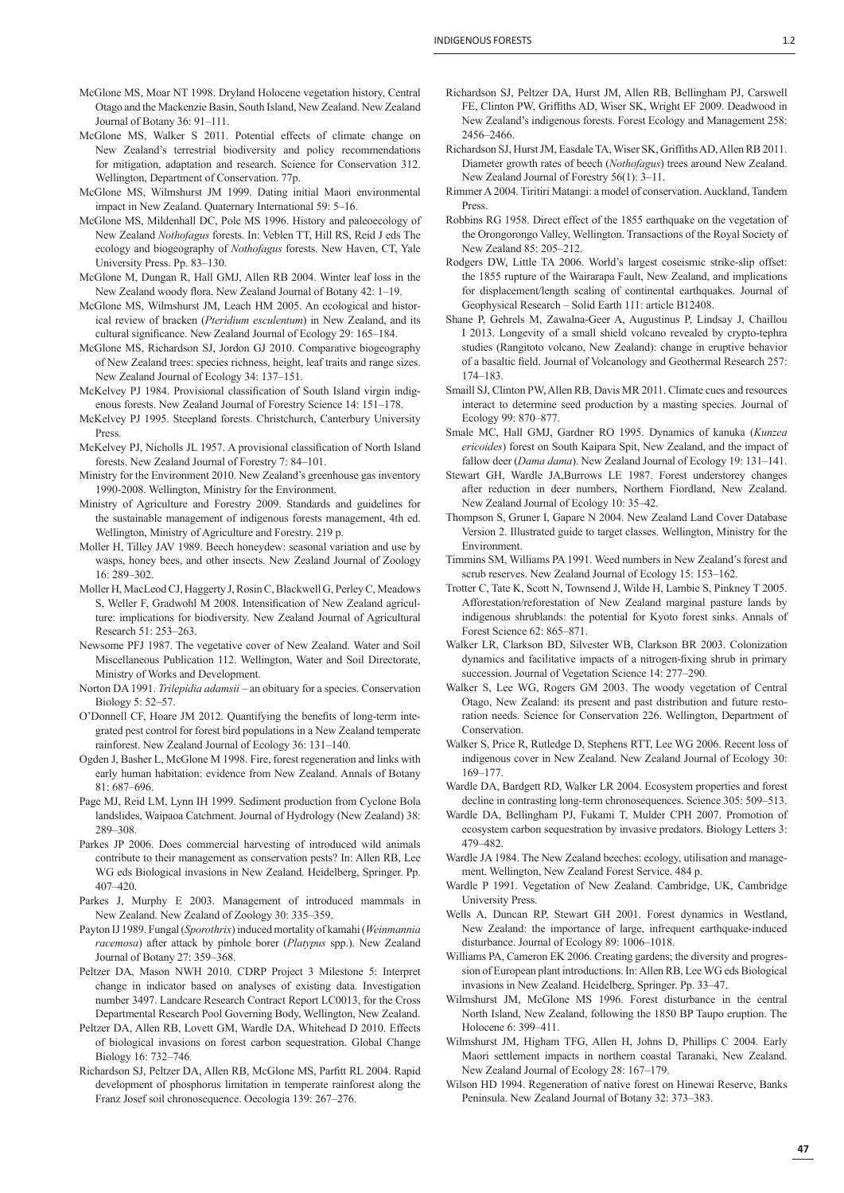- McGlone MS, Moar NT 1998. Dryland Holocene vegetation history, Central Otago and the Mackenzie Basin, South Island, New Zealand. New Zealand Journal of Botany 36: 91–111.
- McGlone MS, Walker S 2011. Potential effects of climate change on New Zealand's terrestrial biodiversity and policy recommendations for mitigation, adaptation and research. Science for Conservation 312. Wellington, Department of Conservation. 77p.
- McGlone MS, Wilmshurst JM 1999. Dating initial Maori environmental impact in New Zealand. Quaternary International 59: 5–16.
- McGlone MS, Mildenhall DC, Pole MS 1996. History and paleoecology of New Zealand *Nothofagus* forests. In: Veblen TT, Hill RS, Reid J eds The ecology and biogeography of *Nothofagus* forests. New Haven, CT, Yale University Press. Pp. 83–130.
- McGlone M, Dungan R, Hall GMJ, Allen RB 2004. Winter leaf loss in the New Zealand woody flora. New Zealand Journal of Botany 42: 1–19.
- McGlone MS, Wilmshurst JM, Leach HM 2005. An ecological and historical review of bracken (*Pteridium esculentum*) in New Zealand, and its cultural significance. New Zealand Journal of Ecology 29: 165-184.
- McGlone MS, Richardson SJ, Jordon GJ 2010. Comparative biogeography of New Zealand trees: species richness, height, leaf traits and range sizes. New Zealand Journal of Ecology 34: 137–151.
- McKelvey PJ 1984. Provisional classification of South Island virgin indigenous forests. New Zealand Journal of Forestry Science 14: 151–178.
- McKelvey PJ 1995. Steepland forests. Christchurch, Canterbury University Press.
- McKelvey PJ, Nicholls JL 1957. A provisional classification of North Island forests. New Zealand Journal of Forestry 7: 84–101.
- Ministry for the Environment 2010. New Zealand's greenhouse gas inventory 1990-2008. Wellington, Ministry for the Environment.
- Ministry of Agriculture and Forestry 2009. Standards and guidelines for the sustainable management of indigenous forests management, 4th ed. Wellington, Ministry of Agriculture and Forestry. 219 p.
- Moller H, Tilley JAV 1989. Beech honeydew: seasonal variation and use by wasps, honey bees, and other insects. New Zealand Journal of Zoology 16: 289–302.
- Moller H, MacLeod CJ, Haggerty J, Rosin C, Blackwell G, Perley C, Meadows S, Weller F, Gradwohl M 2008. Intensification of New Zealand agriculture: implications for biodiversity. New Zealand Journal of Agricultural Research 51: 253–263.
- Newsome PFJ 1987. The vegetative cover of New Zealand. Water and Soil Miscellaneous Publication 112. Wellington, Water and Soil Directorate, Ministry of Works and Development.
- Norton DA 1991. *Trilepidia adamsii* an obituary for a species. Conservation Biology 5: 52–57.
- O'Donnell CF, Hoare JM 2012. Quantifying the benefits of long-term integrated pest control for forest bird populations in a New Zealand temperate rainforest. New Zealand Journal of Ecology 36: 131–140.
- Ogden J, Basher L, McGlone M 1998. Fire, forest regeneration and links with early human habitation: evidence from New Zealand. Annals of Botany 81: 687–696.
- Page MJ, Reid LM, Lynn IH 1999. Sediment production from Cyclone Bola landslides, Waipaoa Catchment. Journal of Hydrology (New Zealand) 38: 289–308.
- Parkes JP 2006. Does commercial harvesting of introduced wild animals contribute to their management as conservation pests? In: Allen RB, Lee WG eds Biological invasions in New Zealand. Heidelberg, Springer. Pp. 407–420.
- Parkes J, Murphy E 2003. Management of introduced mammals in New Zealand. New Zealand of Zoology 30: 335–359.
- Payton IJ 1989. Fungal (*Sporothrix*) induced mortality of kamahi (*Weinmannia racemosa*) after attack by pinhole borer (*Platypus* spp.). New Zealand Journal of Botany 27: 359–368.
- Peltzer DA, Mason NWH 2010. CDRP Project 3 Milestone 5: Interpret change in indicator based on analyses of existing data. Investigation number 3497. Landcare Research Contract Report LC0013, for the Cross Departmental Research Pool Governing Body, Wellington, New Zealand.
- Peltzer DA, Allen RB, Lovett GM, Wardle DA, Whitehead D 2010. Effects of biological invasions on forest carbon sequestration. Global Change Biology 16: 732–746*.*
- Richardson SJ, Peltzer DA, Allen RB, McGlone MS, Parfitt RL 2004. Rapid development of phosphorus limitation in temperate rainforest along the Franz Josef soil chronosequence. Oecologia 139: 267–276.
- Richardson SJ, Peltzer DA, Hurst JM, Allen RB, Bellingham PJ, Carswell FE, Clinton PW, Griffiths AD, Wiser SK, Wright EF 2009. Deadwood in New Zealand's indigenous forests. Forest Ecology and Management 258: 2456–2466.
- Richardson SJ, Hurst JM, Easdale TA, Wiser SK, Griffiths AD, Allen RB 2011. Diameter growth rates of beech (*Nothofagus*) trees around New Zealand. New Zealand Journal of Forestry 56(1): 3–11.
- Rimmer A 2004. Tiritiri Matangi: a model of conservation. Auckland, Tandem Press.
- Robbins RG 1958. Direct effect of the 1855 earthquake on the vegetation of the Orongorongo Valley, Wellington. Transactions of the Royal Society of New Zealand 85: 205–212.
- Rodgers DW, Little TA 2006. World's largest coseismic strike-slip offset: the 1855 rupture of the Wairarapa Fault, New Zealand, and implications for displacement/length scaling of continental earthquakes. Journal of Geophysical Research – Solid Earth 111: article B12408.
- Shane P, Gehrels M, Zawalna-Geer A, Augustinus P, Lindsay J, Chaillou I 2013. Longevity of a small shield volcano revealed by crypto-tephra studies (Rangitoto volcano, New Zealand): change in eruptive behavior of a basaltic field. Journal of Volcanology and Geothermal Research 257: 174–183.
- Smaill SJ, Clinton PW, Allen RB, Davis MR 2011. Climate cues and resources interact to determine seed production by a masting species. Journal of Ecology 99: 870–877.
- Smale MC, Hall GMJ, Gardner RO 1995. Dynamics of kanuka (*Kunzea ericoides*) forest on South Kaipara Spit, New Zealand, and the impact of fallow deer (*Dama dama*). New Zealand Journal of Ecology 19: 131–141.
- Stewart GH, Wardle JA,Burrows LE 1987. Forest understorey changes after reduction in deer numbers, Northern Fiordland, New Zealand. New Zealand Journal of Ecology 10: 35–42.
- Thompson S, Gruner I, Gapare N 2004. New Zealand Land Cover Database Version 2. Illustrated guide to target classes. Wellington, Ministry for the Environment.
- Timmins SM, Williams PA 1991. Weed numbers in New Zealand's forest and scrub reserves. New Zealand Journal of Ecology 15: 153–162.
- Trotter C, Tate K, Scott N, Townsend J, Wilde H, Lambie S, Pinkney T 2005. Afforestation/reforestation of New Zealand marginal pasture lands by indigenous shrublands: the potential for Kyoto forest sinks. Annals of Forest Science 62: 865–871.
- Walker LR, Clarkson BD, Silvester WB, Clarkson BR 2003. Colonization dynamics and facilitative impacts of a nitrogen-fixing shrub in primary succession. Journal of Vegetation Science 14: 277–290.
- Walker S, Lee WG, Rogers GM 2003. The woody vegetation of Central Otago, New Zealand: its present and past distribution and future restoration needs. Science for Conservation 226. Wellington, Department of Conservation.
- Walker S, Price R, Rutledge D, Stephens RTT, Lee WG 2006. Recent loss of indigenous cover in New Zealand. New Zealand Journal of Ecology 30: 169–177.
- Wardle DA, Bardgett RD, Walker LR 2004. Ecosystem properties and forest decline in contrasting long-term chronosequences. Science 305: 509–513.
- Wardle DA, Bellingham PJ, Fukami T, Mulder CPH 2007. Promotion of ecosystem carbon sequestration by invasive predators. Biology Letters 3: 479–482.
- Wardle JA 1984. The New Zealand beeches: ecology, utilisation and management. Wellington, New Zealand Forest Service. 484 p.
- Wardle P 1991. Vegetation of New Zealand. Cambridge, UK, Cambridge University Press.
- Wells A, Duncan RP, Stewart GH 2001. Forest dynamics in Westland, New Zealand: the importance of large, infrequent earthquake-induced disturbance. Journal of Ecology 89: 1006–1018.
- Williams PA, Cameron EK 2006. Creating gardens; the diversity and progression of European plant introductions. In: Allen RB, Lee WG eds Biological invasions in New Zealand. Heidelberg, Springer. Pp. 33–47.
- Wilmshurst JM, McGlone MS 1996. Forest disturbance in the central North Island, New Zealand, following the 1850 BP Taupo eruption. The Holocene 6: 399–411.
- Wilmshurst JM, Higham TFG, Allen H, Johns D, Phillips C 2004. Early Maori settlement impacts in northern coastal Taranaki, New Zealand. New Zealand Journal of Ecology 28: 167–179.
- Wilson HD 1994. Regeneration of native forest on Hinewai Reserve, Banks Peninsula. New Zealand Journal of Botany 32: 373–383.